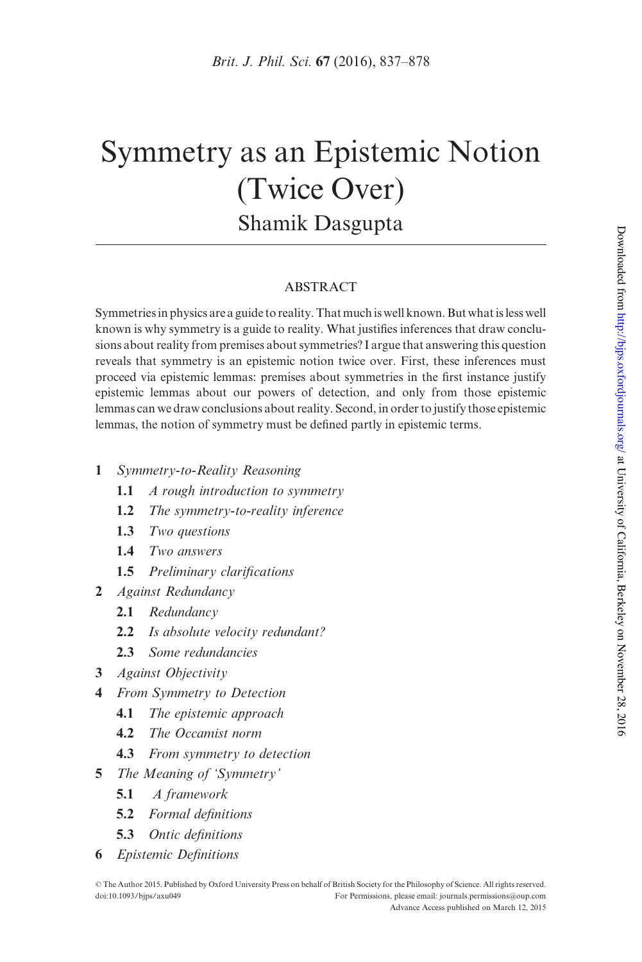# Symmetry as an Epistemic Notion (Twice Over) Shamik Dasgupta

#### ABSTRACT

Symmetries in physics are a guide to reality. That much is well known. But what is less well known is why symmetry is a guide to reality. What justifies inferences that draw conclusions about reality from premises about symmetries? I argue that answering this question reveals that symmetry is an epistemic notion twice over. First, these inferences must proceed via epistemic lemmas: premises about symmetries in the first instance justify epistemic lemmas about our powers of detection, and only from those epistemic lemmas can we draw conclusions about reality. Second, in order to justify those epistemic lemmas, the notion of symmetry must be defined partly in epistemic terms.

- 1 Symmetry-to-Reality Reasoning
	- 1.1 A rough introduction to symmetry
	- 1.2 The symmetry-to-reality inference
	- 1.3 Two questions
	- 1.4 Two answers
	- 1.5 Preliminary clarifications
- 2 Against Redundancy
	- 2.1 Redundancy
	- 2.2 Is absolute velocity redundant?
	- 2.3 Some redundancies
- 3 Against Objectivity
- 4 From Symmetry to Detection
	- 4.1 The epistemic approach
	- 4.2 The Occamist norm
	- 4.3 From symmetry to detection
- 5 The Meaning of 'Symmetry'
	- 5.1 A framework
	- 5.2 Formal definitions
	- 5.3 Ontic definitions
- 6 Epistemic Definitions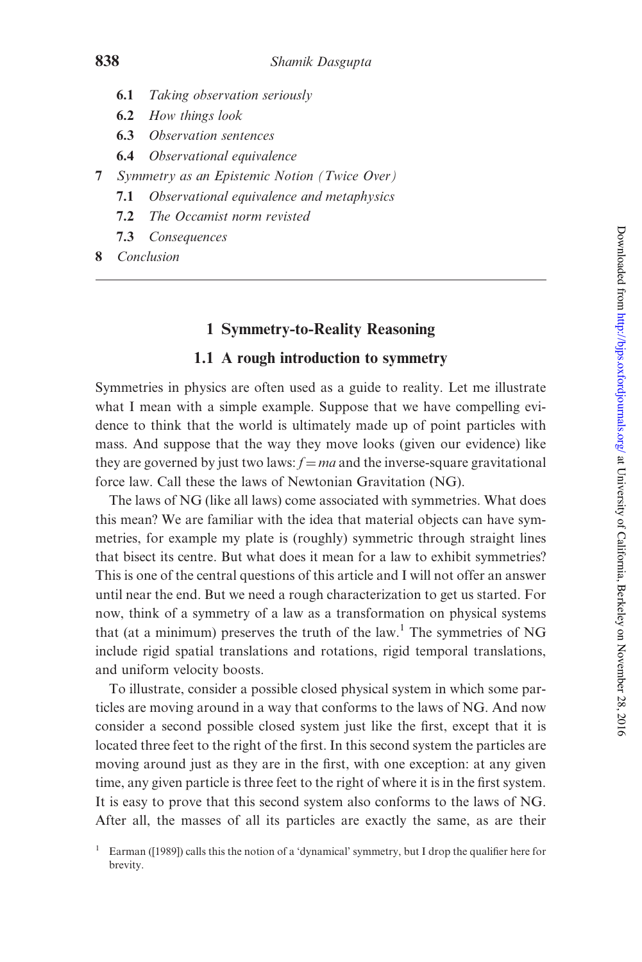- 6.1 Taking observation seriously
- 6.2 How things look
- 6.3 Observation sentences
- 6.4 Observational equivalence
- 7 Symmetry as an Epistemic Notion (Twice Over)
	- 7.1 Observational equivalence and metaphysics
	- 7.2 The Occamist norm revisted
	- 7.3 Consequences
- 8 Conclusion

## 1 Symmetry-to-Reality Reasoning

## 1.1 A rough introduction to symmetry

Symmetries in physics are often used as a guide to reality. Let me illustrate what I mean with a simple example. Suppose that we have compelling evidence to think that the world is ultimately made up of point particles with mass. And suppose that the way they move looks (given our evidence) like they are governed by just two laws:  $f = ma$  and the inverse-square gravitational force law. Call these the laws of Newtonian Gravitation (NG).

The laws of NG (like all laws) come associated with symmetries. What does this mean? We are familiar with the idea that material objects can have symmetries, for example my plate is (roughly) symmetric through straight lines that bisect its centre. But what does it mean for a law to exhibit symmetries? This is one of the central questions of this article and I will not offer an answer until near the end. But we need a rough characterization to get us started. For now, think of a symmetry of a law as a transformation on physical systems that (at a minimum) preserves the truth of the law.<sup>1</sup> The symmetries of NG include rigid spatial translations and rotations, rigid temporal translations, and uniform velocity boosts.

To illustrate, consider a possible closed physical system in which some particles are moving around in a way that conforms to the laws of NG. And now consider a second possible closed system just like the first, except that it is located three feet to the right of the first. In this second system the particles are moving around just as they are in the first, with one exception: at any given time, any given particle is three feet to the right of where it is in the first system. It is easy to prove that this second system also conforms to the laws of NG. After all, the masses of all its particles are exactly the same, as are their

<sup>1</sup> Earman ([\[1989\]\)](#page-40-0) calls this the notion of a 'dynamical' symmetry, but I drop the qualifier here for brevity.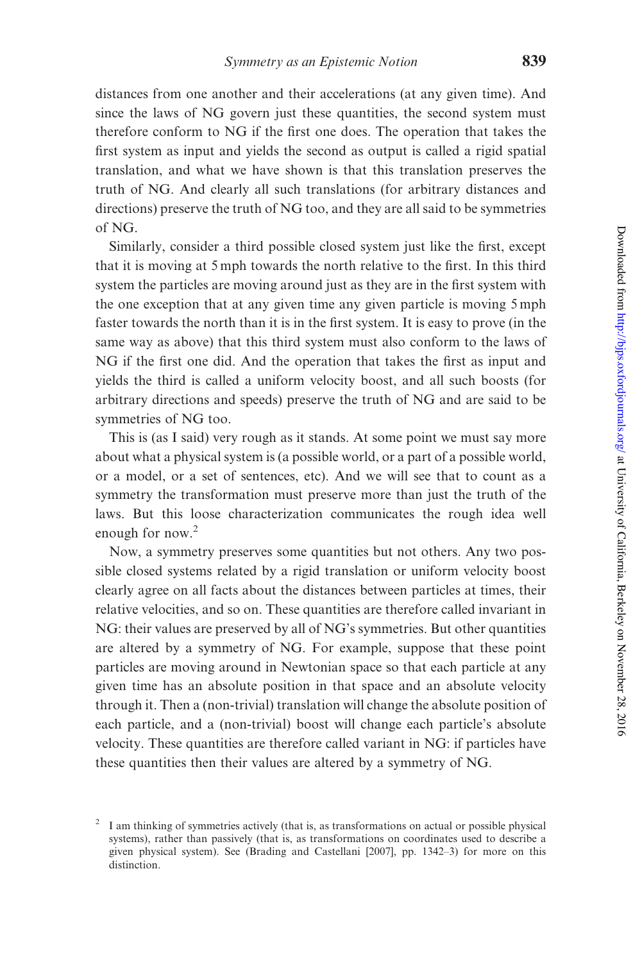distances from one another and their accelerations (at any given time). And since the laws of NG govern just these quantities, the second system must therefore conform to NG if the first one does. The operation that takes the first system as input and yields the second as output is called a rigid spatial translation, and what we have shown is that this translation preserves the truth of NG. And clearly all such translations (for arbitrary distances and directions) preserve the truth of NG too, and they are all said to be symmetries of NG.

Similarly, consider a third possible closed system just like the first, except that it is moving at 5 mph towards the north relative to the first. In this third system the particles are moving around just as they are in the first system with the one exception that at any given time any given particle is moving 5 mph faster towards the north than it is in the first system. It is easy to prove (in the same way as above) that this third system must also conform to the laws of NG if the first one did. And the operation that takes the first as input and yields the third is called a uniform velocity boost, and all such boosts (for arbitrary directions and speeds) preserve the truth of NG and are said to be symmetries of NG too.

This is (as I said) very rough as it stands. At some point we must say more about what a physical system is (a possible world, or a part of a possible world, or a model, or a set of sentences, etc). And we will see that to count as a symmetry the transformation must preserve more than just the truth of the laws. But this loose characterization communicates the rough idea well enough for now.<sup>2</sup>

Now, a symmetry preserves some quantities but not others. Any two possible closed systems related by a rigid translation or uniform velocity boost clearly agree on all facts about the distances between particles at times, their relative velocities, and so on. These quantities are therefore called invariant in NG: their values are preserved by all of NG's symmetries. But other quantities are altered by a symmetry of NG. For example, suppose that these point particles are moving around in Newtonian space so that each particle at any given time has an absolute position in that space and an absolute velocity through it. Then a (non-trivial) translation will change the absolute position of each particle, and a (non-trivial) boost will change each particle's absolute velocity. These quantities are therefore called variant in NG: if particles have these quantities then their values are altered by a symmetry of NG.

<sup>&</sup>lt;sup>2</sup> I am thinking of symmetries actively (that is, as transformations on actual or possible physical systems), rather than passively (that is, as transformations on coordinates used to describe a given physical system). See ([Brading and Castellani \[2007\]](#page-40-0), pp. 1342–3) for more on this distinction.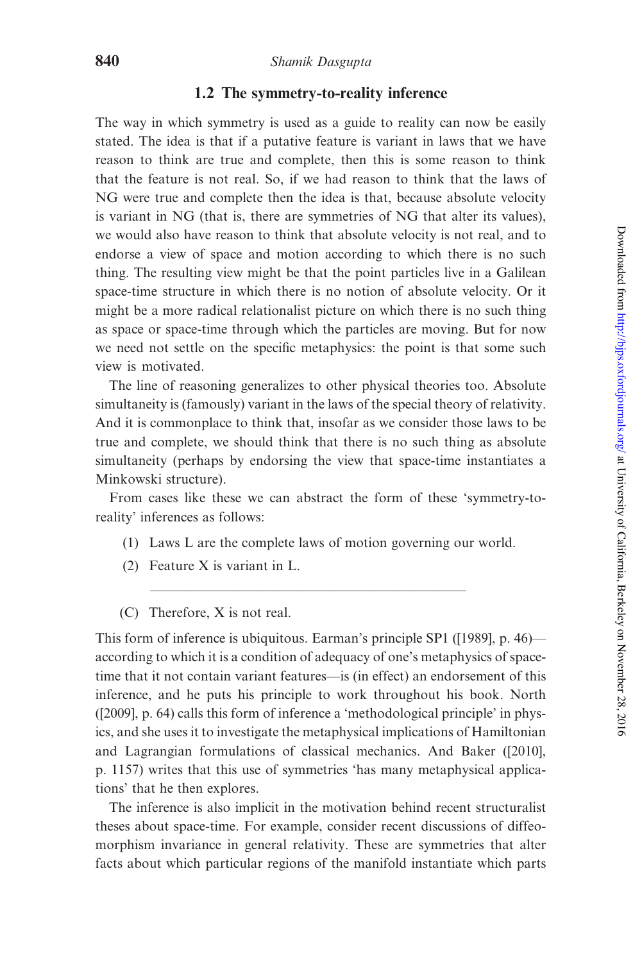## 1.2 The symmetry-to-reality inference

The way in which symmetry is used as a guide to reality can now be easily stated. The idea is that if a putative feature is variant in laws that we have reason to think are true and complete, then this is some reason to think that the feature is not real. So, if we had reason to think that the laws of NG were true and complete then the idea is that, because absolute velocity is variant in NG (that is, there are symmetries of NG that alter its values), we would also have reason to think that absolute velocity is not real, and to endorse a view of space and motion according to which there is no such thing. The resulting view might be that the point particles live in a Galilean space-time structure in which there is no notion of absolute velocity. Or it might be a more radical relationalist picture on which there is no such thing as space or space-time through which the particles are moving. But for now we need not settle on the specific metaphysics: the point is that some such view is motivated.

The line of reasoning generalizes to other physical theories too. Absolute simultaneity is (famously) variant in the laws of the special theory of relativity. And it is commonplace to think that, insofar as we consider those laws to be true and complete, we should think that there is no such thing as absolute simultaneity (perhaps by endorsing the view that space-time instantiates a Minkowski structure).

From cases like these we can abstract the form of these 'symmetry-toreality' inferences as follows:

(1) Laws L are the complete laws of motion governing our world.

———————————————————————

- (2) Feature X is variant in L.
- (C) Therefore, X is not real.

This form of inference is ubiquitous. Earman's principle SP1 [\(\[1989\]](#page-40-0), p. 46) according to which it is a condition of adequacy of one's metaphysics of spacetime that it not contain variant features—is (in effect) an endorsement of this inference, and he puts his principle to work throughout his book. North ([\[2009\],](#page-41-0) p. 64) calls this form of inference a 'methodological principle' in physics, and she uses it to investigate the metaphysical implications of Hamiltonian and Lagrangian formulations of classical mechanics. And Baker ([\[2010\],](#page-40-0) p. 1157) writes that this use of symmetries 'has many metaphysical applications' that he then explores.

The inference is also implicit in the motivation behind recent structuralist theses about space-time. For example, consider recent discussions of diffeomorphism invariance in general relativity. These are symmetries that alter facts about which particular regions of the manifold instantiate which parts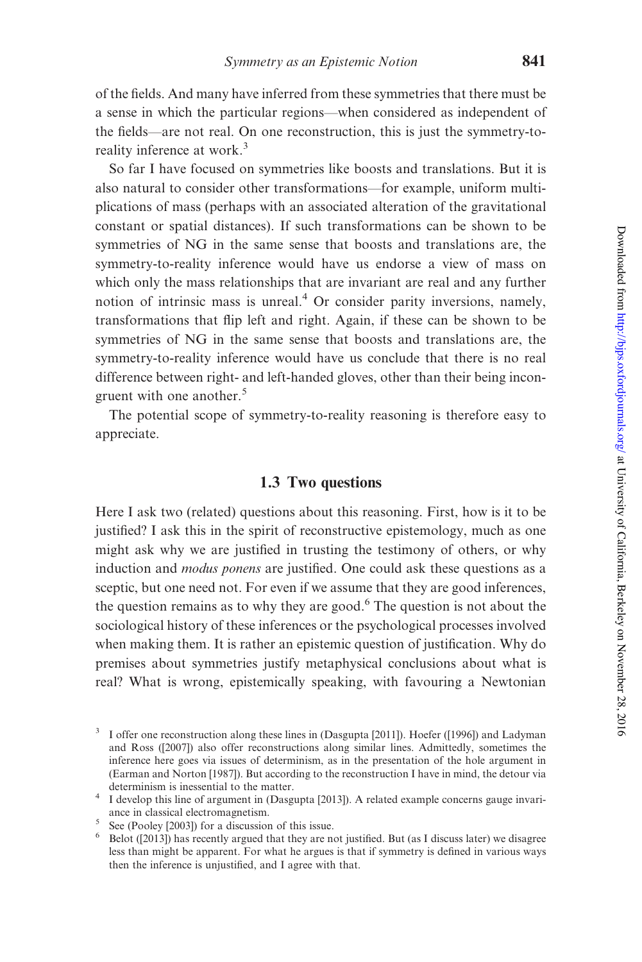of the fields. And many have inferred from these symmetries that there must be a sense in which the particular regions—when considered as independent of the fields—are not real. On one reconstruction, this is just the symmetry-toreality inference at work.<sup>3</sup>

So far I have focused on symmetries like boosts and translations. But it is also natural to consider other transformations—for example, uniform multiplications of mass (perhaps with an associated alteration of the gravitational constant or spatial distances). If such transformations can be shown to be symmetries of NG in the same sense that boosts and translations are, the symmetry-to-reality inference would have us endorse a view of mass on which only the mass relationships that are invariant are real and any further notion of intrinsic mass is unreal. $4$  Or consider parity inversions, namely, transformations that flip left and right. Again, if these can be shown to be symmetries of NG in the same sense that boosts and translations are, the symmetry-to-reality inference would have us conclude that there is no real difference between right- and left-handed gloves, other than their being incongruent with one another.<sup>5</sup>

The potential scope of symmetry-to-reality reasoning is therefore easy to appreciate.

## 1.3 Two questions

Here I ask two (related) questions about this reasoning. First, how is it to be justified? I ask this in the spirit of reconstructive epistemology, much as one might ask why we are justified in trusting the testimony of others, or why induction and modus ponens are justified. One could ask these questions as a sceptic, but one need not. For even if we assume that they are good inferences, the question remains as to why they are good.<sup>6</sup> The question is not about the sociological history of these inferences or the psychological processes involved when making them. It is rather an epistemic question of justification. Why do premises about symmetries justify metaphysical conclusions about what is real? What is wrong, epistemically speaking, with favouring a Newtonian

<sup>3</sup> I offer one reconstruction along these lines in [\(Dasgupta \[2011\]](#page-40-0)). Hoefer ([\[1996\]\)](#page-41-0) and Ladyman and Ross ([\[2007\]\)](#page-41-0) also offer reconstructions along similar lines. Admittedly, sometimes the inference here goes via issues of determinism, as in the presentation of the hole argument in ([Earman and Norton \[1987\]](#page-40-0)). But according to the reconstruction I have in mind, the detour via

determinism is inessential to the matter.<br><sup>4</sup> I develop this line of argument in [\(Dasgupta \[2013\]](#page-40-0)). A related example concerns gauge invari-3 See ([Pooley \[2003\]\)](#page-41-0) for a discussion of this issue.<br>
<sup>5</sup> See (Pooley [2003]) for a discussion of this issue.<br>
<sup>6</sup> Belot [\(\[2013\]](#page-40-0)) has recently argued that they are not justified. But (as I discuss later) we disagree

less than might be apparent. For what he argues is that if symmetry is defined in various ways then the inference is unjustified, and I agree with that.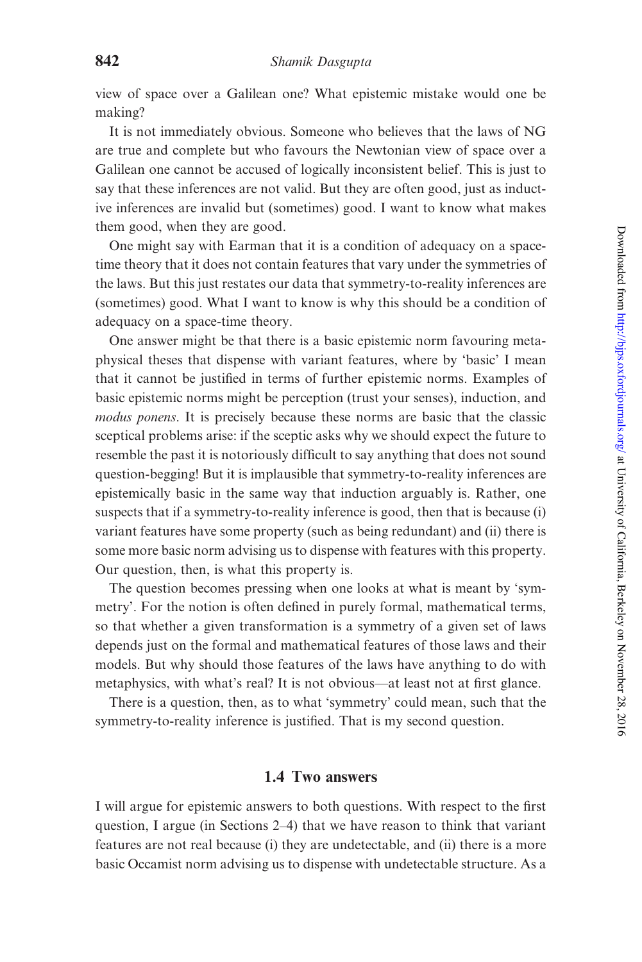view of space over a Galilean one? What epistemic mistake would one be making?

It is not immediately obvious. Someone who believes that the laws of NG are true and complete but who favours the Newtonian view of space over a Galilean one cannot be accused of logically inconsistent belief. This is just to say that these inferences are not valid. But they are often good, just as inductive inferences are invalid but (sometimes) good. I want to know what makes them good, when they are good.

One might say with Earman that it is a condition of adequacy on a spacetime theory that it does not contain features that vary under the symmetries of the laws. But this just restates our data that symmetry-to-reality inferences are (sometimes) good. What I want to know is why this should be a condition of adequacy on a space-time theory.

One answer might be that there is a basic epistemic norm favouring metaphysical theses that dispense with variant features, where by 'basic' I mean that it cannot be justified in terms of further epistemic norms. Examples of basic epistemic norms might be perception (trust your senses), induction, and modus ponens. It is precisely because these norms are basic that the classic sceptical problems arise: if the sceptic asks why we should expect the future to resemble the past it is notoriously difficult to say anything that does not sound question-begging! But it is implausible that symmetry-to-reality inferences are epistemically basic in the same way that induction arguably is. Rather, one suspects that if a symmetry-to-reality inference is good, then that is because (i) variant features have some property (such as being redundant) and (ii) there is some more basic norm advising us to dispense with features with this property. Our question, then, is what this property is.

The question becomes pressing when one looks at what is meant by 'symmetry'. For the notion is often defined in purely formal, mathematical terms, so that whether a given transformation is a symmetry of a given set of laws depends just on the formal and mathematical features of those laws and their models. But why should those features of the laws have anything to do with metaphysics, with what's real? It is not obvious—at least not at first glance.

There is a question, then, as to what 'symmetry' could mean, such that the symmetry-to-reality inference is justified. That is my second question.

#### 1.4 Two answers

I will argue for epistemic answers to both questions. With respect to the first question, I argue (in Sections 2–4) that we have reason to think that variant features are not real because (i) they are undetectable, and (ii) there is a more basic Occamist norm advising us to dispense with undetectable structure. As a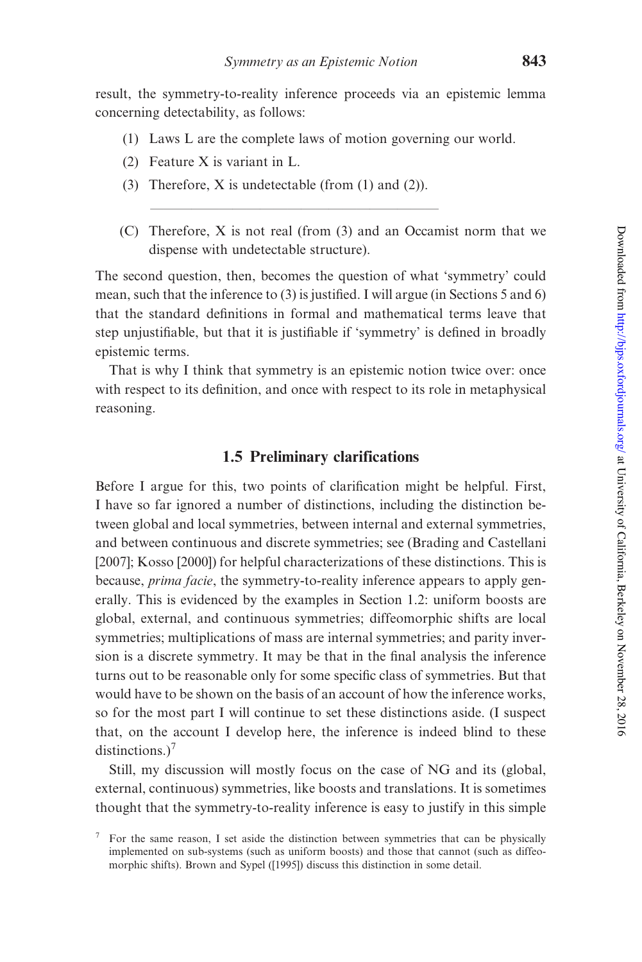result, the symmetry-to-reality inference proceeds via an epistemic lemma concerning detectability, as follows:

- (1) Laws L are the complete laws of motion governing our world.
- (2) Feature X is variant in L.
- (3) Therefore, X is undetectable (from (1) and (2)).

—————————————————————

(C) Therefore, X is not real (from (3) and an Occamist norm that we dispense with undetectable structure).

The second question, then, becomes the question of what 'symmetry' could mean, such that the inference to (3) is justified. I will argue (in Sections 5 and 6) that the standard definitions in formal and mathematical terms leave that step unjustifiable, but that it is justifiable if 'symmetry' is defined in broadly epistemic terms.

That is why I think that symmetry is an epistemic notion twice over: once with respect to its definition, and once with respect to its role in metaphysical reasoning.

#### 1.5 Preliminary clarifications

Before I argue for this, two points of clarification might be helpful. First, I have so far ignored a number of distinctions, including the distinction between global and local symmetries, between internal and external symmetries, and between continuous and discrete symmetries; see (Brading and Castellani [\[2007\];](#page-40-0) Kosso [\[2000\]](#page-41-0)) for helpful characterizations of these distinctions. This is because, prima facie, the symmetry-to-reality inference appears to apply generally. This is evidenced by the examples in Section 1.2: uniform boosts are global, external, and continuous symmetries; diffeomorphic shifts are local symmetries; multiplications of mass are internal symmetries; and parity inversion is a discrete symmetry. It may be that in the final analysis the inference turns out to be reasonable only for some specific class of symmetries. But that would have to be shown on the basis of an account of how the inference works, so for the most part I will continue to set these distinctions aside. (I suspect that, on the account I develop here, the inference is indeed blind to these distinctions.) $<sup>7</sup>$ </sup>

Still, my discussion will mostly focus on the case of NG and its (global, external, continuous) symmetries, like boosts and translations. It is sometimes thought that the symmetry-to-reality inference is easy to justify in this simple

<sup>7</sup> For the same reason, I set aside the distinction between symmetries that can be physically implemented on sub-systems (such as uniform boosts) and those that cannot (such as diffeomorphic shifts). Brown and Sypel ([\[1995\]\)](#page-40-0) discuss this distinction in some detail.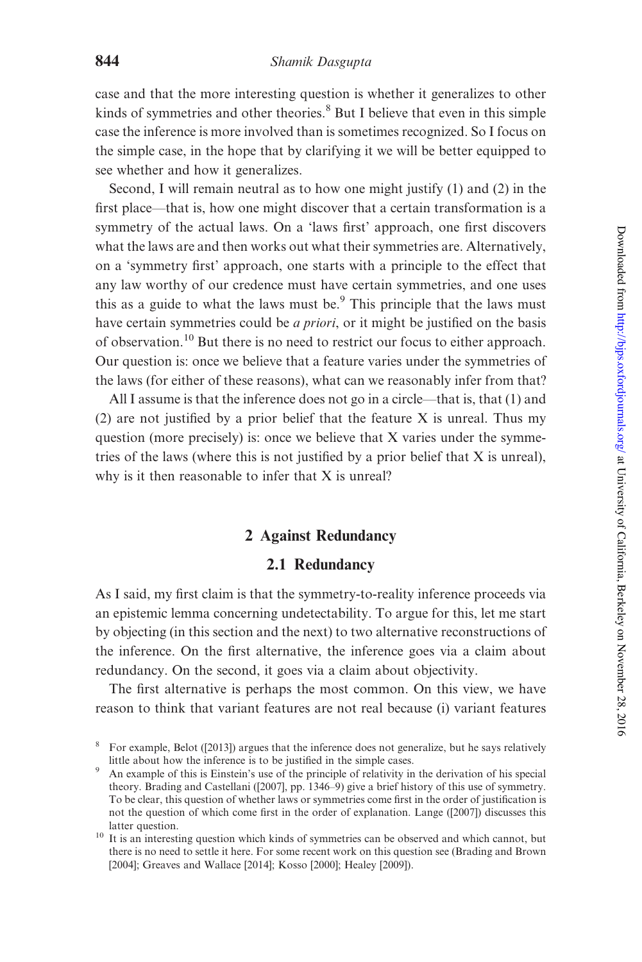case and that the more interesting question is whether it generalizes to other kinds of symmetries and other theories.<sup>8</sup> But I believe that even in this simple case the inference is more involved than is sometimes recognized. So I focus on the simple case, in the hope that by clarifying it we will be better equipped to see whether and how it generalizes.

Second, I will remain neutral as to how one might justify (1) and (2) in the first place—that is, how one might discover that a certain transformation is a symmetry of the actual laws. On a 'laws first' approach, one first discovers what the laws are and then works out what their symmetries are. Alternatively, on a 'symmetry first' approach, one starts with a principle to the effect that any law worthy of our credence must have certain symmetries, and one uses this as a guide to what the laws must be. $9$  This principle that the laws must have certain symmetries could be *a priori*, or it might be justified on the basis of observation.<sup>10</sup> But there is no need to restrict our focus to either approach. Our question is: once we believe that a feature varies under the symmetries of the laws (for either of these reasons), what can we reasonably infer from that?

All I assume is that the inference does not go in a circle—that is, that (1) and (2) are not justified by a prior belief that the feature  $X$  is unreal. Thus my question (more precisely) is: once we believe that X varies under the symmetries of the laws (where this is not justified by a prior belief that  $X$  is unreal), why is it then reasonable to infer that X is unreal?

# 2 Against Redundancy

#### 2.1 Redundancy

As I said, my first claim is that the symmetry-to-reality inference proceeds via an epistemic lemma concerning undetectability. To argue for this, let me start by objecting (in this section and the next) to two alternative reconstructions of the inference. On the first alternative, the inference goes via a claim about redundancy. On the second, it goes via a claim about objectivity.

The first alternative is perhaps the most common. On this view, we have reason to think that variant features are not real because (i) variant features

 $8$  For example, Belot ([\[2013\]\)](#page-40-0) argues that the inference does not generalize, but he says relatively little about how the inference is to be justified in the simple cases.

<sup>&</sup>lt;sup>9</sup> An example of this is Einstein's use of the principle of relativity in the derivation of his special theory. Brading and Castellani [\(\[2007\]](#page-40-0), pp. 1346–9) give a brief history of this use of symmetry. To be clear, this question of whether laws or symmetries come first in the order of justification is not the question of which come first in the order of explanation. Lange [\(\[2007\]](#page-41-0)) discusses this

latter question. 10 It is an interesting question which kinds of symmetries can be observed and which cannot, but there is no need to settle it here. For some recent work on this question see ([Brading and Brown](#page-40-0) [\[2004\]](#page-40-0); [Greaves and Wallace \[2014\]](#page-40-0); [Kosso \[2000\]](#page-41-0); [Healey \[2009\]\)](#page-40-0).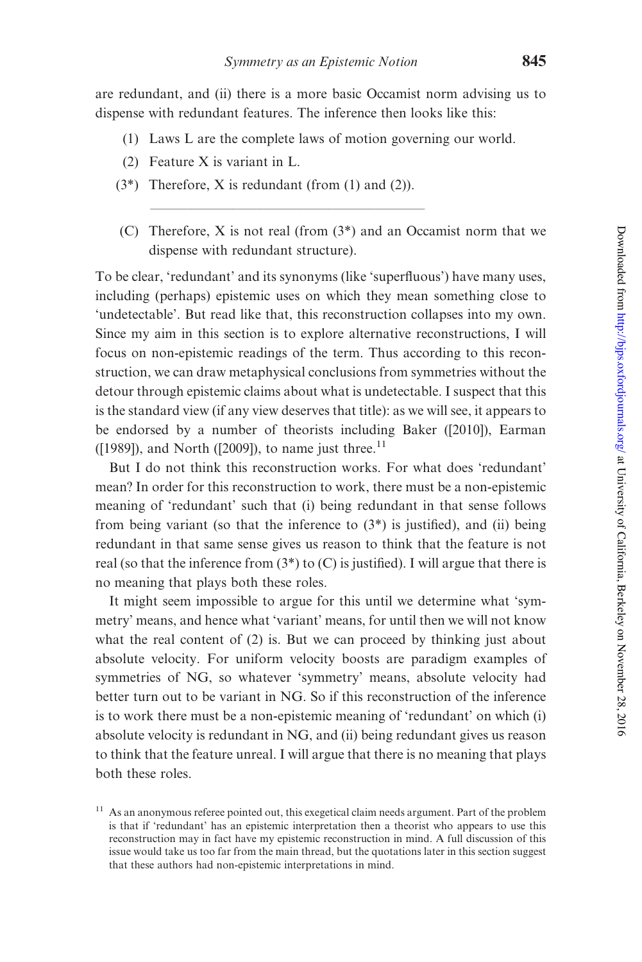are redundant, and (ii) there is a more basic Occamist norm advising us to dispense with redundant features. The inference then looks like this:

- (1) Laws L are the complete laws of motion governing our world.
- (2) Feature X is variant in L.
- $(3^*)$  Therefore, X is redundant (from  $(1)$  and  $(2)$ ).

 $\frac{1}{\sqrt{2}}$  , and the contract of the contract of the contract of the contract of the contract of the contract of the contract of the contract of the contract of the contract of the contract of the contract of the contra

(C) Therefore, X is not real (from (3\*) and an Occamist norm that we dispense with redundant structure).

To be clear, 'redundant' and its synonyms (like 'superfluous') have many uses, including (perhaps) epistemic uses on which they mean something close to 'undetectable'. But read like that, this reconstruction collapses into my own. Since my aim in this section is to explore alternative reconstructions, I will focus on non-epistemic readings of the term. Thus according to this reconstruction, we can draw metaphysical conclusions from symmetries without the detour through epistemic claims about what is undetectable. I suspect that this is the standard view (if any view deserves that title): as we will see, it appears to be endorsed by a number of theorists including Baker [\(\[2010\]](#page-40-0)), Earman ([\[1989\]\)](#page-40-0), and North ([\[2009\]\)](#page-41-0), to name just three.<sup>11</sup>

But I do not think this reconstruction works. For what does 'redundant' mean? In order for this reconstruction to work, there must be a non-epistemic meaning of 'redundant' such that (i) being redundant in that sense follows from being variant (so that the inference to  $(3^*)$ ) is justified), and (ii) being redundant in that same sense gives us reason to think that the feature is not real (so that the inference from  $(3^*)$  to  $(C)$  is justified). I will argue that there is no meaning that plays both these roles.

It might seem impossible to argue for this until we determine what 'symmetry' means, and hence what 'variant' means, for until then we will not know what the real content of (2) is. But we can proceed by thinking just about absolute velocity. For uniform velocity boosts are paradigm examples of symmetries of NG, so whatever 'symmetry' means, absolute velocity had better turn out to be variant in NG. So if this reconstruction of the inference is to work there must be a non-epistemic meaning of 'redundant' on which (i) absolute velocity is redundant in NG, and (ii) being redundant gives us reason to think that the feature unreal. I will argue that there is no meaning that plays both these roles.

<sup>&</sup>lt;sup>11</sup> As an anonymous referee pointed out, this exegetical claim needs argument. Part of the problem is that if 'redundant' has an epistemic interpretation then a theorist who appears to use this reconstruction may in fact have my epistemic reconstruction in mind. A full discussion of this issue would take us too far from the main thread, but the quotations later in this section suggest that these authors had non-epistemic interpretations in mind.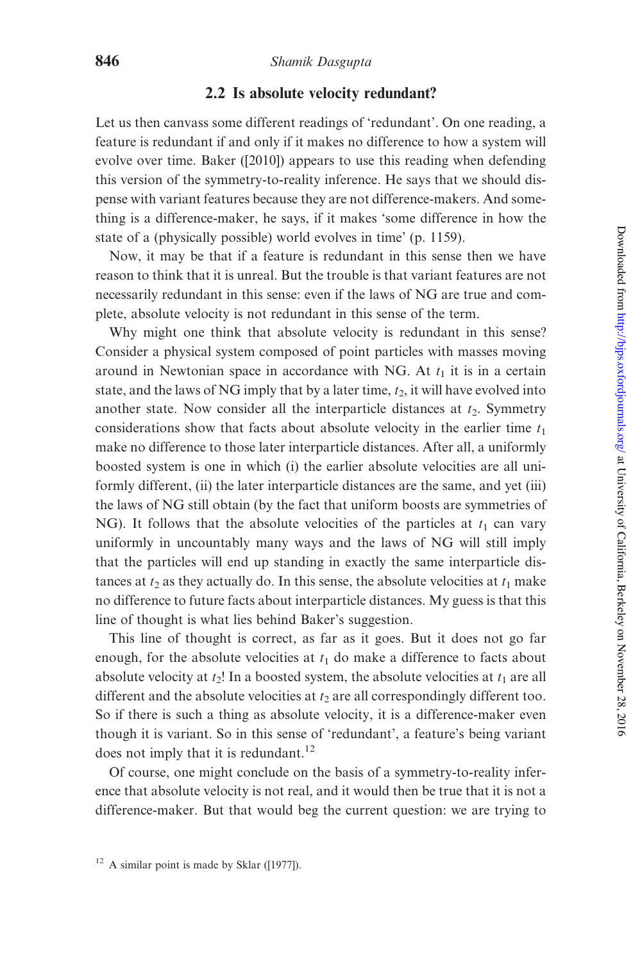#### 2.2 Is absolute velocity redundant?

Let us then canvass some different readings of 'redundant'. On one reading, a feature is redundant if and only if it makes no difference to how a system will evolve over time. Baker ([\[2010\]\)](#page-40-0) appears to use this reading when defending this version of the symmetry-to-reality inference. He says that we should dispense with variant features because they are not difference-makers. And something is a difference-maker, he says, if it makes 'some difference in how the state of a (physically possible) world evolves in time' (p. 1159).

Now, it may be that if a feature is redundant in this sense then we have reason to think that it is unreal. But the trouble is that variant features are not necessarily redundant in this sense: even if the laws of NG are true and complete, absolute velocity is not redundant in this sense of the term.

Why might one think that absolute velocity is redundant in this sense? Consider a physical system composed of point particles with masses moving around in Newtonian space in accordance with NG. At  $t_1$  it is in a certain state, and the laws of NG imply that by a later time,  $t_2$ , it will have evolved into another state. Now consider all the interparticle distances at  $t_2$ . Symmetry considerations show that facts about absolute velocity in the earlier time  $t_1$ make no difference to those later interparticle distances. After all, a uniformly boosted system is one in which (i) the earlier absolute velocities are all uniformly different, (ii) the later interparticle distances are the same, and yet (iii) the laws of NG still obtain (by the fact that uniform boosts are symmetries of NG). It follows that the absolute velocities of the particles at  $t_1$  can vary uniformly in uncountably many ways and the laws of NG will still imply that the particles will end up standing in exactly the same interparticle distances at  $t_2$  as they actually do. In this sense, the absolute velocities at  $t_1$  make no difference to future facts about interparticle distances. My guess is that this line of thought is what lies behind Baker's suggestion.

This line of thought is correct, as far as it goes. But it does not go far enough, for the absolute velocities at  $t_1$  do make a difference to facts about absolute velocity at  $t_2$ ! In a boosted system, the absolute velocities at  $t_1$  are all different and the absolute velocities at  $t_2$  are all correspondingly different too. So if there is such a thing as absolute velocity, it is a difference-maker even though it is variant. So in this sense of 'redundant', a feature's being variant does not imply that it is redundant.<sup>12</sup>

Of course, one might conclude on the basis of a symmetry-to-reality inference that absolute velocity is not real, and it would then be true that it is not a difference-maker. But that would beg the current question: we are trying to

<sup>&</sup>lt;sup>12</sup> A similar point is made by Sklar ([\[1977\]\)](#page-41-0).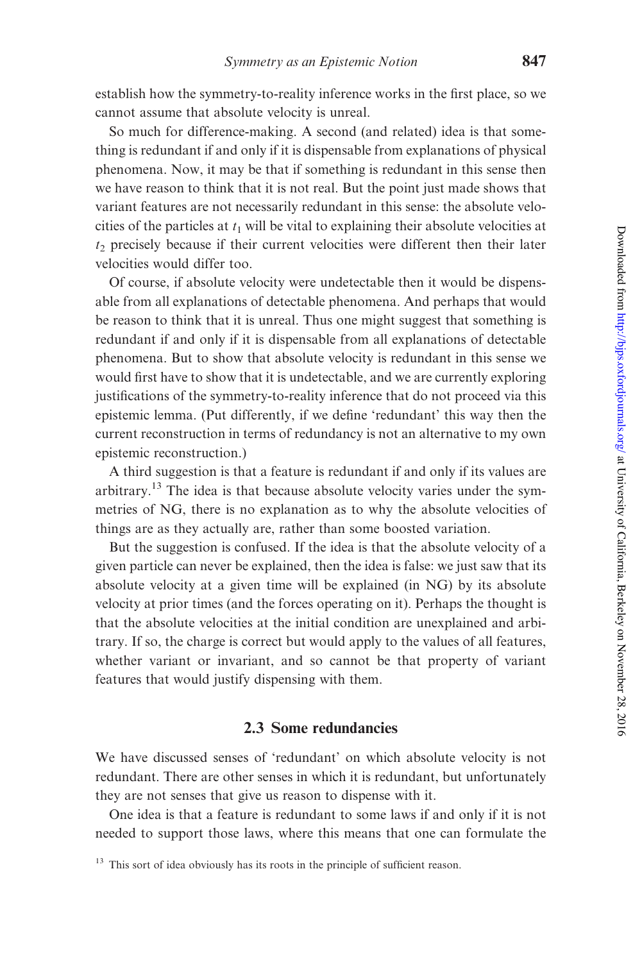establish how the symmetry-to-reality inference works in the first place, so we cannot assume that absolute velocity is unreal.

So much for difference-making. A second (and related) idea is that something is redundant if and only if it is dispensable from explanations of physical phenomena. Now, it may be that if something is redundant in this sense then we have reason to think that it is not real. But the point just made shows that variant features are not necessarily redundant in this sense: the absolute velocities of the particles at  $t_1$  will be vital to explaining their absolute velocities at  $t_2$  precisely because if their current velocities were different then their later velocities would differ too.

Of course, if absolute velocity were undetectable then it would be dispensable from all explanations of detectable phenomena. And perhaps that would be reason to think that it is unreal. Thus one might suggest that something is redundant if and only if it is dispensable from all explanations of detectable phenomena. But to show that absolute velocity is redundant in this sense we would first have to show that it is undetectable, and we are currently exploring justifications of the symmetry-to-reality inference that do not proceed via this epistemic lemma. (Put differently, if we define 'redundant' this way then the current reconstruction in terms of redundancy is not an alternative to my own epistemic reconstruction.)

A third suggestion is that a feature is redundant if and only if its values are arbitrary.<sup>13</sup> The idea is that because absolute velocity varies under the symmetries of NG, there is no explanation as to why the absolute velocities of things are as they actually are, rather than some boosted variation.

But the suggestion is confused. If the idea is that the absolute velocity of a given particle can never be explained, then the idea is false: we just saw that its absolute velocity at a given time will be explained (in NG) by its absolute velocity at prior times (and the forces operating on it). Perhaps the thought is that the absolute velocities at the initial condition are unexplained and arbitrary. If so, the charge is correct but would apply to the values of all features, whether variant or invariant, and so cannot be that property of variant features that would justify dispensing with them.

#### 2.3 Some redundancies

We have discussed senses of 'redundant' on which absolute velocity is not redundant. There are other senses in which it is redundant, but unfortunately they are not senses that give us reason to dispense with it.

One idea is that a feature is redundant to some laws if and only if it is not needed to support those laws, where this means that one can formulate the

<sup>&</sup>lt;sup>13</sup> This sort of idea obviously has its roots in the principle of sufficient reason.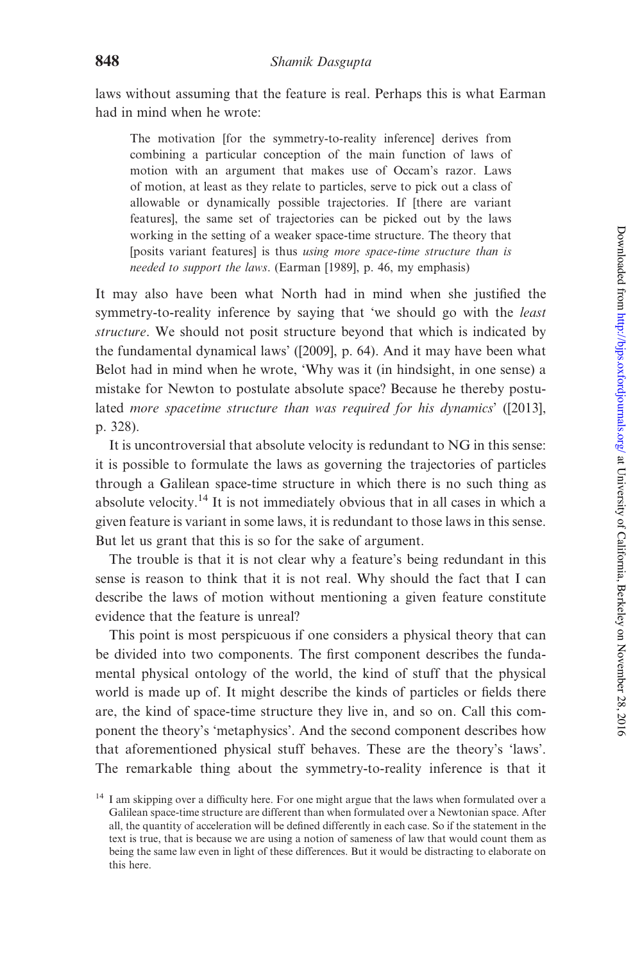laws without assuming that the feature is real. Perhaps this is what Earman had in mind when he wrote:

The motivation [for the symmetry-to-reality inference] derives from combining a particular conception of the main function of laws of motion with an argument that makes use of Occam's razor. Laws of motion, at least as they relate to particles, serve to pick out a class of allowable or dynamically possible trajectories. If [there are variant features], the same set of trajectories can be picked out by the laws working in the setting of a weaker space-time structure. The theory that [posits variant features] is thus using more space-time structure than is needed to support the laws. (Earman [\[1989](#page-40-0)], p. 46, my emphasis)

It may also have been what North had in mind when she justified the symmetry-to-reality inference by saying that 'we should go with the *least* structure. We should not posit structure beyond that which is indicated by the fundamental dynamical laws' ([[2009\]](#page-41-0), p. 64). And it may have been what Belot had in mind when he wrote, 'Why was it (in hindsight, in one sense) a mistake for Newton to postulate absolute space? Because he thereby postulated more spacetime structure than was required for his dynamics' ([\[2013\]](#page-40-0), p. 328).

It is uncontroversial that absolute velocity is redundant to NG in this sense: it is possible to formulate the laws as governing the trajectories of particles through a Galilean space-time structure in which there is no such thing as absolute velocity.<sup>14</sup> It is not immediately obvious that in all cases in which a given feature is variant in some laws, it is redundant to those laws in this sense. But let us grant that this is so for the sake of argument.

The trouble is that it is not clear why a feature's being redundant in this sense is reason to think that it is not real. Why should the fact that I can describe the laws of motion without mentioning a given feature constitute evidence that the feature is unreal?

This point is most perspicuous if one considers a physical theory that can be divided into two components. The first component describes the fundamental physical ontology of the world, the kind of stuff that the physical world is made up of. It might describe the kinds of particles or fields there are, the kind of space-time structure they live in, and so on. Call this component the theory's 'metaphysics'. And the second component describes how that aforementioned physical stuff behaves. These are the theory's 'laws'. The remarkable thing about the symmetry-to-reality inference is that it

<sup>&</sup>lt;sup>14</sup> I am skipping over a difficulty here. For one might argue that the laws when formulated over a Galilean space-time structure are different than when formulated over a Newtonian space. After all, the quantity of acceleration will be defined differently in each case. So if the statement in the text is true, that is because we are using a notion of sameness of law that would count them as being the same law even in light of these differences. But it would be distracting to elaborate on this here.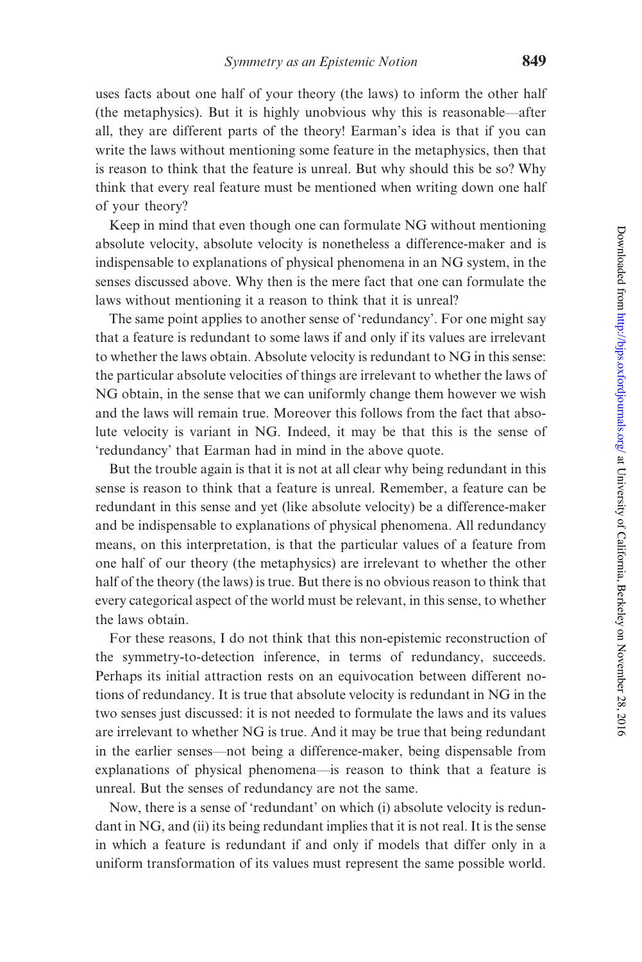uses facts about one half of your theory (the laws) to inform the other half (the metaphysics). But it is highly unobvious why this is reasonable—after all, they are different parts of the theory! Earman's idea is that if you can write the laws without mentioning some feature in the metaphysics, then that is reason to think that the feature is unreal. But why should this be so? Why think that every real feature must be mentioned when writing down one half of your theory?

Keep in mind that even though one can formulate NG without mentioning absolute velocity, absolute velocity is nonetheless a difference-maker and is indispensable to explanations of physical phenomena in an NG system, in the senses discussed above. Why then is the mere fact that one can formulate the laws without mentioning it a reason to think that it is unreal?

The same point applies to another sense of 'redundancy'. For one might say that a feature is redundant to some laws if and only if its values are irrelevant to whether the laws obtain. Absolute velocity is redundant to NG in this sense: the particular absolute velocities of things are irrelevant to whether the laws of NG obtain, in the sense that we can uniformly change them however we wish and the laws will remain true. Moreover this follows from the fact that absolute velocity is variant in NG. Indeed, it may be that this is the sense of 'redundancy' that Earman had in mind in the above quote.

But the trouble again is that it is not at all clear why being redundant in this sense is reason to think that a feature is unreal. Remember, a feature can be redundant in this sense and yet (like absolute velocity) be a difference-maker and be indispensable to explanations of physical phenomena. All redundancy means, on this interpretation, is that the particular values of a feature from one half of our theory (the metaphysics) are irrelevant to whether the other half of the theory (the laws) is true. But there is no obvious reason to think that every categorical aspect of the world must be relevant, in this sense, to whether the laws obtain.

For these reasons, I do not think that this non-epistemic reconstruction of the symmetry-to-detection inference, in terms of redundancy, succeeds. Perhaps its initial attraction rests on an equivocation between different notions of redundancy. It is true that absolute velocity is redundant in NG in the two senses just discussed: it is not needed to formulate the laws and its values are irrelevant to whether NG is true. And it may be true that being redundant in the earlier senses—not being a difference-maker, being dispensable from explanations of physical phenomena—is reason to think that a feature is unreal. But the senses of redundancy are not the same.

Now, there is a sense of 'redundant' on which (i) absolute velocity is redundant in NG, and (ii) its being redundant implies that it is not real. It is the sense in which a feature is redundant if and only if models that differ only in a uniform transformation of its values must represent the same possible world.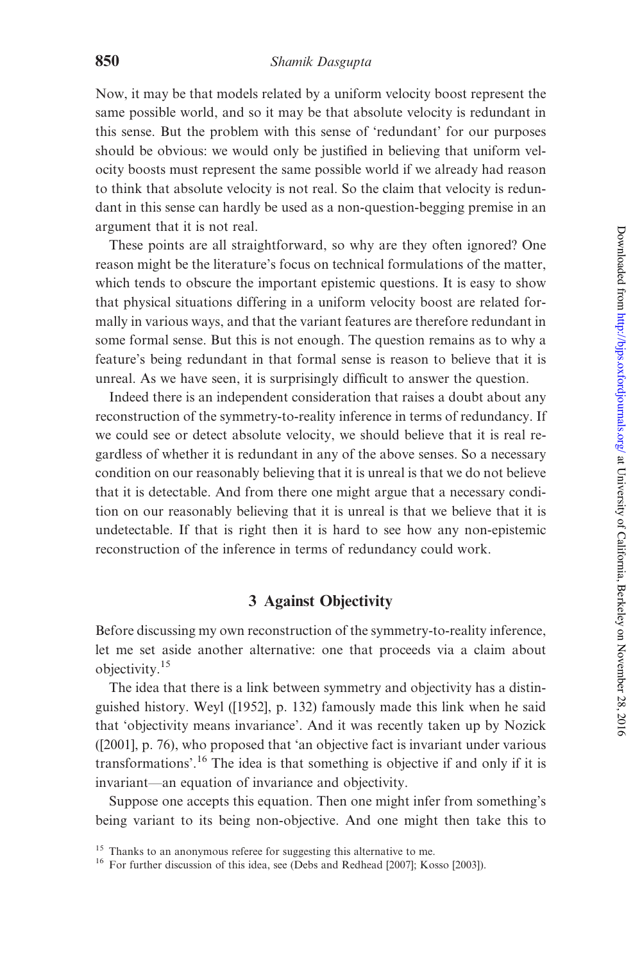Now, it may be that models related by a uniform velocity boost represent the same possible world, and so it may be that absolute velocity is redundant in this sense. But the problem with this sense of 'redundant' for our purposes should be obvious: we would only be justified in believing that uniform velocity boosts must represent the same possible world if we already had reason to think that absolute velocity is not real. So the claim that velocity is redundant in this sense can hardly be used as a non-question-begging premise in an argument that it is not real.

These points are all straightforward, so why are they often ignored? One reason might be the literature's focus on technical formulations of the matter, which tends to obscure the important epistemic questions. It is easy to show that physical situations differing in a uniform velocity boost are related formally in various ways, and that the variant features are therefore redundant in some formal sense. But this is not enough. The question remains as to why a feature's being redundant in that formal sense is reason to believe that it is unreal. As we have seen, it is surprisingly difficult to answer the question.

Indeed there is an independent consideration that raises a doubt about any reconstruction of the symmetry-to-reality inference in terms of redundancy. If we could see or detect absolute velocity, we should believe that it is real regardless of whether it is redundant in any of the above senses. So a necessary condition on our reasonably believing that it is unreal is that we do not believe that it is detectable. And from there one might argue that a necessary condition on our reasonably believing that it is unreal is that we believe that it is undetectable. If that is right then it is hard to see how any non-epistemic reconstruction of the inference in terms of redundancy could work.

# 3 Against Objectivity

Before discussing my own reconstruction of the symmetry-to-reality inference, let me set aside another alternative: one that proceeds via a claim about objectivity.<sup>15</sup>

The idea that there is a link between symmetry and objectivity has a distinguished history. Weyl ([\[1952\],](#page-41-0) p. 132) famously made this link when he said that 'objectivity means invariance'. And it was recently taken up by Nozick ([\[2001\],](#page-41-0) p. 76), who proposed that 'an objective fact is invariant under various transformations'.<sup>16</sup> The idea is that something is objective if and only if it is invariant—an equation of invariance and objectivity.

Suppose one accepts this equation. Then one might infer from something's being variant to its being non-objective. And one might then take this to

<sup>&</sup>lt;sup>15</sup> Thanks to an anonymous referee for suggesting this alternative to me.<br><sup>16</sup> For further discussion of this idea, see ([Debs and Redhead \[2007\]](#page-40-0); [Kosso \[2003\]\)](#page-41-0).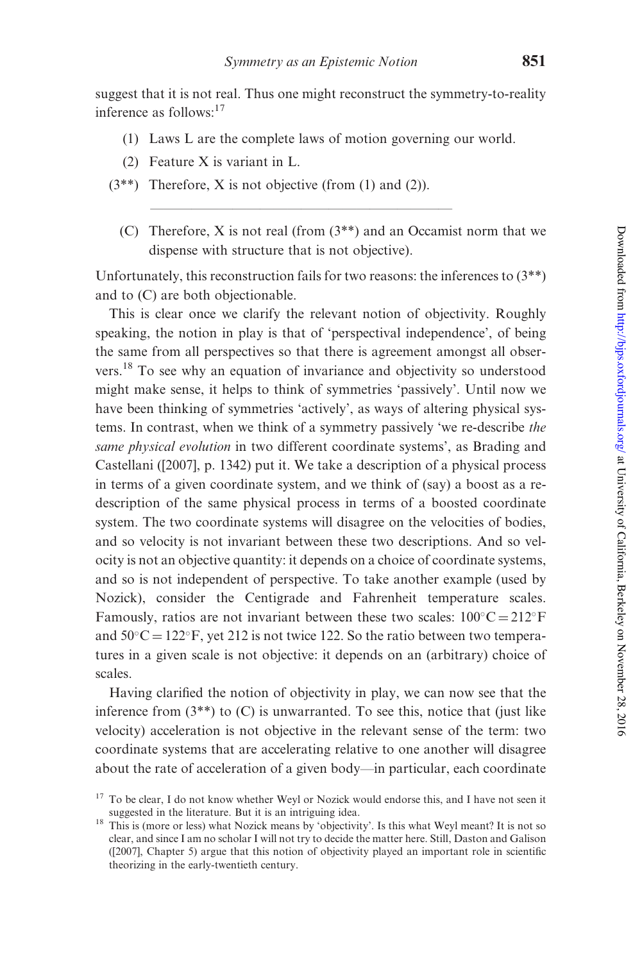suggest that it is not real. Thus one might reconstruct the symmetry-to-reality inference as follows:17

(1) Laws L are the complete laws of motion governing our world.

——————————————————————

- (2) Feature X is variant in L.
- $(3^{**})$  Therefore, X is not objective (from (1) and (2)).
	- (C) Therefore, X is not real (from  $(3^{**})$  and an Occamist norm that we dispense with structure that is not objective).

Unfortunately, this reconstruction fails for two reasons: the inferences to  $(3^{**})$ and to (C) are both objectionable.

This is clear once we clarify the relevant notion of objectivity. Roughly speaking, the notion in play is that of 'perspectival independence', of being the same from all perspectives so that there is agreement amongst all observers.18 To see why an equation of invariance and objectivity so understood might make sense, it helps to think of symmetries 'passively'. Until now we have been thinking of symmetries 'actively', as ways of altering physical systems. In contrast, when we think of a symmetry passively 'we re-describe the same physical evolution in two different coordinate systems', as Brading and Castellani ([\[2007\],](#page-40-0) p. 1342) put it. We take a description of a physical process in terms of a given coordinate system, and we think of (say) a boost as a redescription of the same physical process in terms of a boosted coordinate system. The two coordinate systems will disagree on the velocities of bodies, and so velocity is not invariant between these two descriptions. And so velocity is not an objective quantity: it depends on a choice of coordinate systems, and so is not independent of perspective. To take another example (used by Nozick), consider the Centigrade and Fahrenheit temperature scales. Famously, ratios are not invariant between these two scales:  $100^{\circ}C = 212^{\circ}F$ and  $50^{\circ}$ C = 122 $^{\circ}$ F, yet 212 is not twice 122. So the ratio between two temperatures in a given scale is not objective: it depends on an (arbitrary) choice of scales.

Having clarified the notion of objectivity in play, we can now see that the inference from  $(3^{**})$  to  $(C)$  is unwarranted. To see this, notice that (just like velocity) acceleration is not objective in the relevant sense of the term: two coordinate systems that are accelerating relative to one another will disagree about the rate of acceleration of a given body—in particular, each coordinate

<sup>&</sup>lt;sup>17</sup> To be clear, I do not know whether Weyl or Nozick would endorse this, and I have not seen it suggested in the literature. But it is an intriguing idea.

 $18$  This is (more or less) what Nozick means by 'objectivity'. Is this what Weyl meant? It is not so clear, and since I am no scholar I will not try to decide the matter here. Still, Daston and Galison ([\[2007\],](#page-40-0) Chapter 5) argue that this notion of objectivity played an important role in scientific theorizing in the early-twentieth century.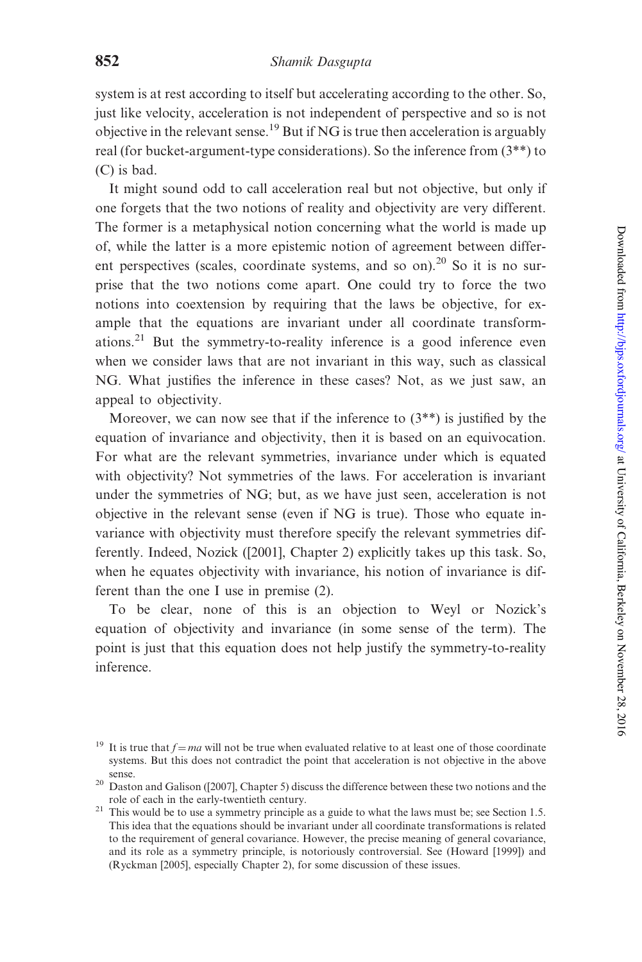system is at rest according to itself but accelerating according to the other. So, just like velocity, acceleration is not independent of perspective and so is not objective in the relevant sense.<sup>19</sup> But if NG is true then acceleration is arguably real (for bucket-argument-type considerations). So the inference from (3\*\*) to (C) is bad.

It might sound odd to call acceleration real but not objective, but only if one forgets that the two notions of reality and objectivity are very different. The former is a metaphysical notion concerning what the world is made up of, while the latter is a more epistemic notion of agreement between different perspectives (scales, coordinate systems, and so on).<sup>20</sup> So it is no surprise that the two notions come apart. One could try to force the two notions into coextension by requiring that the laws be objective, for example that the equations are invariant under all coordinate transformations.<sup>21</sup> But the symmetry-to-reality inference is a good inference even when we consider laws that are not invariant in this way, such as classical NG. What justifies the inference in these cases? Not, as we just saw, an appeal to objectivity.

Moreover, we can now see that if the inference to  $(3^{**})$  is justified by the equation of invariance and objectivity, then it is based on an equivocation. For what are the relevant symmetries, invariance under which is equated with objectivity? Not symmetries of the laws. For acceleration is invariant under the symmetries of NG; but, as we have just seen, acceleration is not objective in the relevant sense (even if NG is true). Those who equate invariance with objectivity must therefore specify the relevant symmetries differently. Indeed, Nozick [\(\[2001\],](#page-41-0) Chapter 2) explicitly takes up this task. So, when he equates objectivity with invariance, his notion of invariance is different than the one I use in premise (2).

To be clear, none of this is an objection to Weyl or Nozick's equation of objectivity and invariance (in some sense of the term). The point is just that this equation does not help justify the symmetry-to-reality inference.

<sup>&</sup>lt;sup>19</sup> It is true that  $f = ma$  will not be true when evaluated relative to at least one of those coordinate systems. But this does not contradict the point that acceleration is not objective in the above

sense.<br><sup>20</sup> Daston and Galison ([\[2007\],](#page-40-0) Chapter 5) discuss the difference between these two notions and the role of each in the early-twentieth century.

 $21$  This would be to use a symmetry principle as a guide to what the laws must be; see Section 1.5. This idea that the equations should be invariant under all coordinate transformations is related to the requirement of general covariance. However, the precise meaning of general covariance, and its role as a symmetry principle, is notoriously controversial. See ([Howard \[1999\]\)](#page-41-0) and ([Ryckman \[2005\],](#page-41-0) especially Chapter 2), for some discussion of these issues.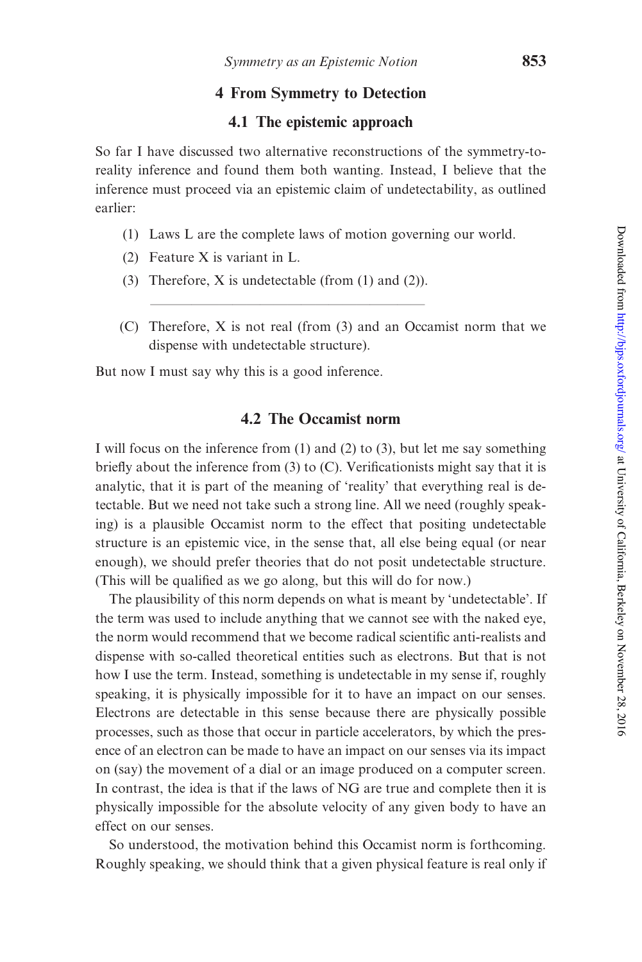## 4 From Symmetry to Detection

## 4.1 The epistemic approach

So far I have discussed two alternative reconstructions of the symmetry-toreality inference and found them both wanting. Instead, I believe that the inference must proceed via an epistemic claim of undetectability, as outlined earlier:

- (1) Laws L are the complete laws of motion governing our world.
- (2) Feature X is variant in L.
- (3) Therefore, X is undetectable (from (1) and (2)).

————————————————————

(C) Therefore, X is not real (from (3) and an Occamist norm that we dispense with undetectable structure).

But now I must say why this is a good inference.

## 4.2 The Occamist norm

I will focus on the inference from (1) and (2) to (3), but let me say something briefly about the inference from (3) to (C). Verificationists might say that it is analytic, that it is part of the meaning of 'reality' that everything real is detectable. But we need not take such a strong line. All we need (roughly speaking) is a plausible Occamist norm to the effect that positing undetectable structure is an epistemic vice, in the sense that, all else being equal (or near enough), we should prefer theories that do not posit undetectable structure. (This will be qualified as we go along, but this will do for now.)

The plausibility of this norm depends on what is meant by 'undetectable'. If the term was used to include anything that we cannot see with the naked eye, the norm would recommend that we become radical scientific anti-realists and dispense with so-called theoretical entities such as electrons. But that is not how I use the term. Instead, something is undetectable in my sense if, roughly speaking, it is physically impossible for it to have an impact on our senses. Electrons are detectable in this sense because there are physically possible processes, such as those that occur in particle accelerators, by which the presence of an electron can be made to have an impact on our senses via its impact on (say) the movement of a dial or an image produced on a computer screen. In contrast, the idea is that if the laws of NG are true and complete then it is physically impossible for the absolute velocity of any given body to have an effect on our senses.

So understood, the motivation behind this Occamist norm is forthcoming. Roughly speaking, we should think that a given physical feature is real only if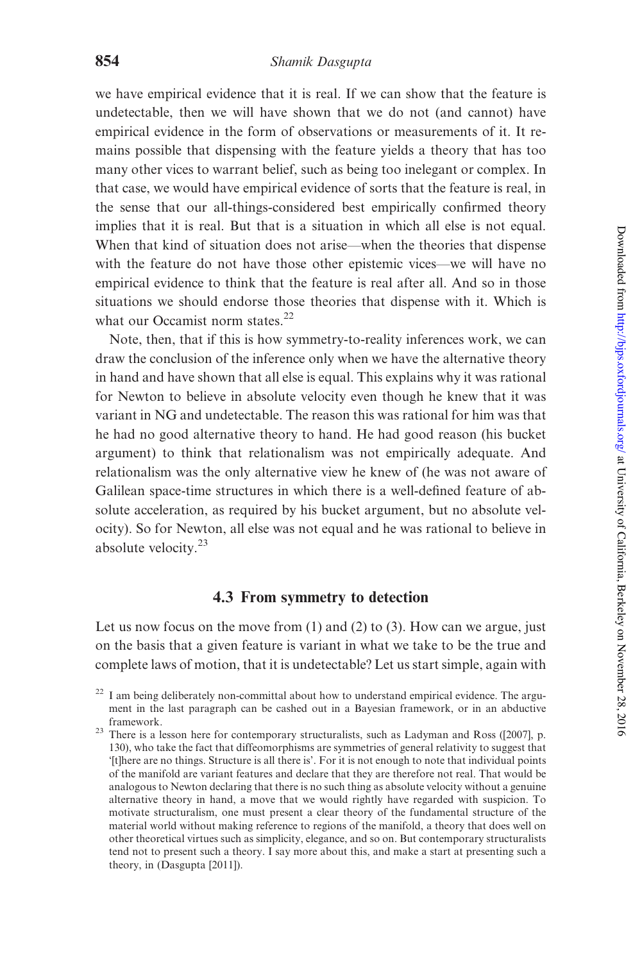we have empirical evidence that it is real. If we can show that the feature is undetectable, then we will have shown that we do not (and cannot) have empirical evidence in the form of observations or measurements of it. It remains possible that dispensing with the feature yields a theory that has too many other vices to warrant belief, such as being too inelegant or complex. In that case, we would have empirical evidence of sorts that the feature is real, in the sense that our all-things-considered best empirically confirmed theory implies that it is real. But that is a situation in which all else is not equal. When that kind of situation does not arise—when the theories that dispense with the feature do not have those other epistemic vices—we will have no empirical evidence to think that the feature is real after all. And so in those situations we should endorse those theories that dispense with it. Which is what our Occamist norm states.<sup>22</sup>

Note, then, that if this is how symmetry-to-reality inferences work, we can draw the conclusion of the inference only when we have the alternative theory in hand and have shown that all else is equal. This explains why it was rational for Newton to believe in absolute velocity even though he knew that it was variant in NG and undetectable. The reason this was rational for him was that he had no good alternative theory to hand. He had good reason (his bucket argument) to think that relationalism was not empirically adequate. And relationalism was the only alternative view he knew of (he was not aware of Galilean space-time structures in which there is a well-defined feature of absolute acceleration, as required by his bucket argument, but no absolute velocity). So for Newton, all else was not equal and he was rational to believe in absolute velocity.<sup>23</sup>

## 4.3 From symmetry to detection

Let us now focus on the move from  $(1)$  and  $(2)$  to  $(3)$ . How can we argue, just on the basis that a given feature is variant in what we take to be the true and complete laws of motion, that it is undetectable? Let us start simple, again with

 $22 \text{ I am being deliberately non-committal about how to understand empirical evidence. The argument is a specific value of the system.}$ ment in the last paragraph can be cashed out in a Bayesian framework, or in an abductive framework. <sup>23</sup> There is a lesson here for contemporary structuralists, such as Ladyman and Ross ([\[2007\],](#page-41-0) p.

<sup>130),</sup> who take the fact that diffeomorphisms are symmetries of general relativity to suggest that '[t]here are no things. Structure is all there is'. For it is not enough to note that individual points of the manifold are variant features and declare that they are therefore not real. That would be analogous to Newton declaring that there is no such thing as absolute velocity without a genuine alternative theory in hand, a move that we would rightly have regarded with suspicion. To motivate structuralism, one must present a clear theory of the fundamental structure of the material world without making reference to regions of the manifold, a theory that does well on other theoretical virtues such as simplicity, elegance, and so on. But contemporary structuralists tend not to present such a theory. I say more about this, and make a start at presenting such a theory, in ([Dasgupta \[2011\]](#page-40-0)).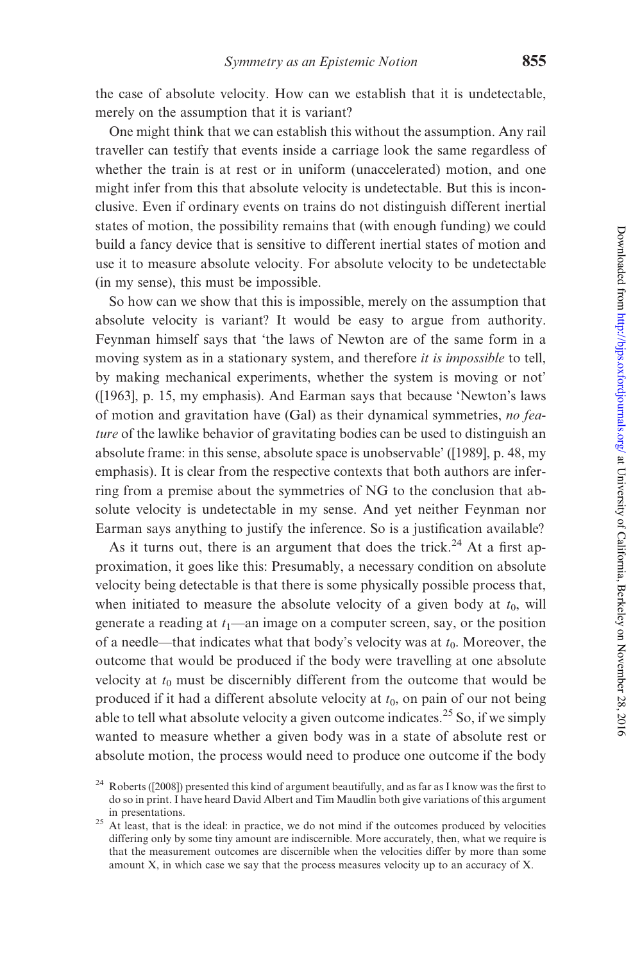the case of absolute velocity. How can we establish that it is undetectable, merely on the assumption that it is variant?

One might think that we can establish this without the assumption. Any rail traveller can testify that events inside a carriage look the same regardless of whether the train is at rest or in uniform (unaccelerated) motion, and one might infer from this that absolute velocity is undetectable. But this is inconclusive. Even if ordinary events on trains do not distinguish different inertial states of motion, the possibility remains that (with enough funding) we could build a fancy device that is sensitive to different inertial states of motion and use it to measure absolute velocity. For absolute velocity to be undetectable (in my sense), this must be impossible.

So how can we show that this is impossible, merely on the assumption that absolute velocity is variant? It would be easy to argue from authority. Feynman himself says that 'the laws of Newton are of the same form in a moving system as in a stationary system, and therefore *it is impossible* to tell, by making mechanical experiments, whether the system is moving or not' ([\[1963](#page-40-0)], p. 15, my emphasis). And Earman says that because 'Newton's laws of motion and gravitation have (Gal) as their dynamical symmetries, no feature of the lawlike behavior of gravitating bodies can be used to distinguish an absolute frame: in this sense, absolute space is unobservable' [\(\[1989\],](#page-40-0) p. 48, my emphasis). It is clear from the respective contexts that both authors are inferring from a premise about the symmetries of NG to the conclusion that absolute velocity is undetectable in my sense. And yet neither Feynman nor Earman says anything to justify the inference. So is a justification available?

As it turns out, there is an argument that does the trick.<sup>24</sup> At a first approximation, it goes like this: Presumably, a necessary condition on absolute velocity being detectable is that there is some physically possible process that, when initiated to measure the absolute velocity of a given body at  $t_0$ , will generate a reading at  $t_1$ —an image on a computer screen, say, or the position of a needle—that indicates what that body's velocity was at  $t_0$ . Moreover, the outcome that would be produced if the body were travelling at one absolute velocity at  $t_0$  must be discernibly different from the outcome that would be produced if it had a different absolute velocity at  $t_0$ , on pain of our not being able to tell what absolute velocity a given outcome indicates.<sup>25</sup> So, if we simply wanted to measure whether a given body was in a state of absolute rest or absolute motion, the process would need to produce one outcome if the body

<sup>24</sup> Roberts ([\[2008\]\)](#page-41-0) presented this kind of argument beautifully, and as far as I know was the first to do so in print. I have heard David Albert and Tim Maudlin both give variations of this argument

in presentations.<br><sup>25</sup> At least, that is the ideal: in practice, we do not mind if the outcomes produced by velocities differing only by some tiny amount are indiscernible. More accurately, then, what we require is that the measurement outcomes are discernible when the velocities differ by more than some amount X, in which case we say that the process measures velocity up to an accuracy of X.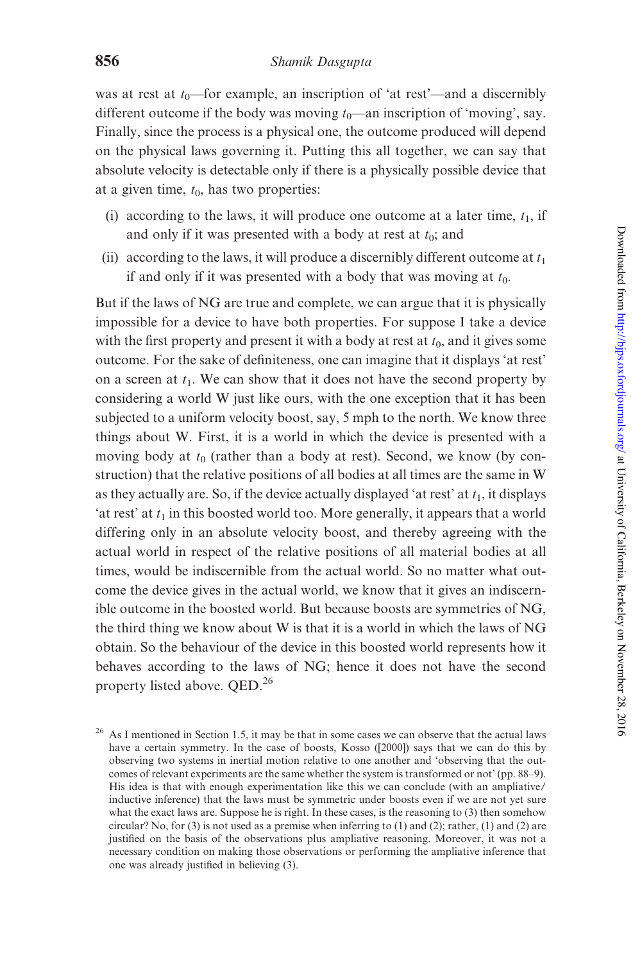was at rest at  $t_0$ —for example, an inscription of 'at rest'—and a discernibly different outcome if the body was moving  $t_0$ —an inscription of 'moving', say. Finally, since the process is a physical one, the outcome produced will depend on the physical laws governing it. Putting this all together, we can say that absolute velocity is detectable only if there is a physically possible device that at a given time,  $t_0$ , has two properties:

- (i) according to the laws, it will produce one outcome at a later time,  $t_1$ , if and only if it was presented with a body at rest at  $t_0$ ; and
- (ii) according to the laws, it will produce a discernibly different outcome at  $t_1$ if and only if it was presented with a body that was moving at  $t_0$ .

But if the laws of NG are true and complete, we can argue that it is physically impossible for a device to have both properties. For suppose I take a device with the first property and present it with a body at rest at  $t_0$ , and it gives some outcome. For the sake of definiteness, one can imagine that it displays 'at rest' on a screen at  $t_1$ . We can show that it does not have the second property by considering a world W just like ours, with the one exception that it has been subjected to a uniform velocity boost, say, 5 mph to the north. We know three things about W. First, it is a world in which the device is presented with a moving body at  $t_0$  (rather than a body at rest). Second, we know (by construction) that the relative positions of all bodies at all times are the same in W as they actually are. So, if the device actually displayed 'at rest' at  $t_1$ , it displays 'at rest' at  $t_1$  in this boosted world too. More generally, it appears that a world differing only in an absolute velocity boost, and thereby agreeing with the actual world in respect of the relative positions of all material bodies at all times, would be indiscernible from the actual world. So no matter what outcome the device gives in the actual world, we know that it gives an indiscernible outcome in the boosted world. But because boosts are symmetries of NG, the third thing we know about W is that it is a world in which the laws of NG obtain. So the behaviour of the device in this boosted world represents how it behaves according to the laws of NG; hence it does not have the second property listed above. QED.26

 $26$  As I mentioned in Section 1.5, it may be that in some cases we can observe that the actual laws have a certain symmetry. In the case of boosts, Kosso ([\[2000\]\)](#page-41-0) says that we can do this by observing two systems in inertial motion relative to one another and 'observing that the outcomes of relevant experiments are the same whether the system is transformed or not' (pp. 88–9). His idea is that with enough experimentation like this we can conclude (with an ampliative/ inductive inference) that the laws must be symmetric under boosts even if we are not yet sure what the exact laws are. Suppose he is right. In these cases, is the reasoning to (3) then somehow circular? No, for  $(3)$  is not used as a premise when inferring to  $(1)$  and  $(2)$ ; rather,  $(1)$  and  $(2)$  are justified on the basis of the observations plus ampliative reasoning. Moreover, it was not a necessary condition on making those observations or performing the ampliative inference that one was already justified in believing (3).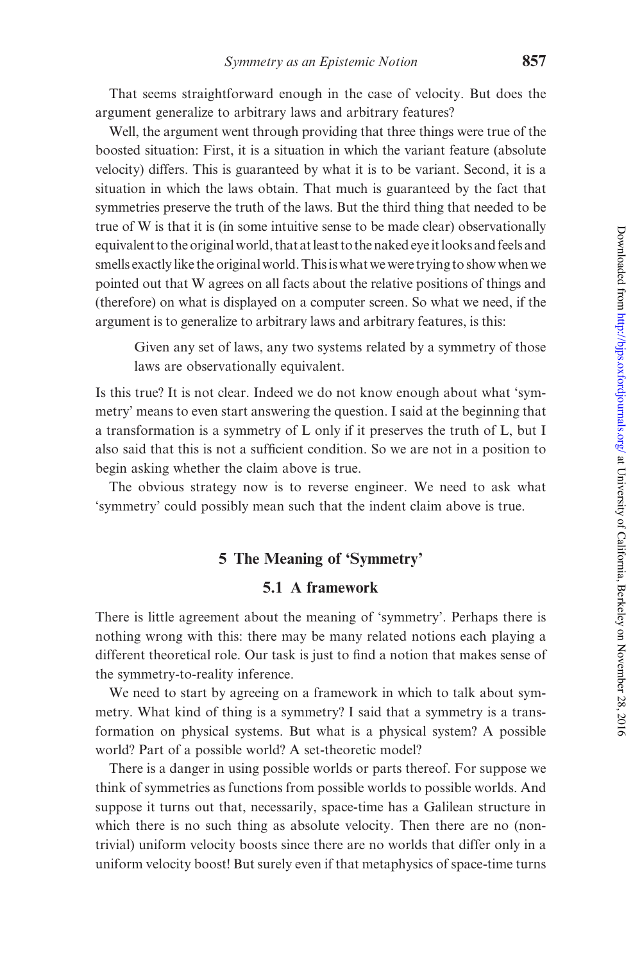That seems straightforward enough in the case of velocity. But does the argument generalize to arbitrary laws and arbitrary features?

Well, the argument went through providing that three things were true of the boosted situation: First, it is a situation in which the variant feature (absolute velocity) differs. This is guaranteed by what it is to be variant. Second, it is a situation in which the laws obtain. That much is guaranteed by the fact that symmetries preserve the truth of the laws. But the third thing that needed to be true of W is that it is (in some intuitive sense to be made clear) observationally equivalent to the original world, that atleast to the naked eyeitlooks and feels and smells exactly like the original world.Thisis what we were trying to show when we pointed out that W agrees on all facts about the relative positions of things and (therefore) on what is displayed on a computer screen. So what we need, if the argument is to generalize to arbitrary laws and arbitrary features, is this:

Given any set of laws, any two systems related by a symmetry of those laws are observationally equivalent.

Is this true? It is not clear. Indeed we do not know enough about what 'symmetry' means to even start answering the question. I said at the beginning that a transformation is a symmetry of L only if it preserves the truth of L, but I also said that this is not a sufficient condition. So we are not in a position to begin asking whether the claim above is true.

The obvious strategy now is to reverse engineer. We need to ask what 'symmetry' could possibly mean such that the indent claim above is true.

## 5 The Meaning of 'Symmetry'

#### 5.1 A framework

There is little agreement about the meaning of 'symmetry'. Perhaps there is nothing wrong with this: there may be many related notions each playing a different theoretical role. Our task is just to find a notion that makes sense of the symmetry-to-reality inference.

We need to start by agreeing on a framework in which to talk about symmetry. What kind of thing is a symmetry? I said that a symmetry is a transformation on physical systems. But what is a physical system? A possible world? Part of a possible world? A set-theoretic model?

There is a danger in using possible worlds or parts thereof. For suppose we think of symmetries as functions from possible worlds to possible worlds. And suppose it turns out that, necessarily, space-time has a Galilean structure in which there is no such thing as absolute velocity. Then there are no (nontrivial) uniform velocity boosts since there are no worlds that differ only in a uniform velocity boost! But surely even if that metaphysics of space-time turns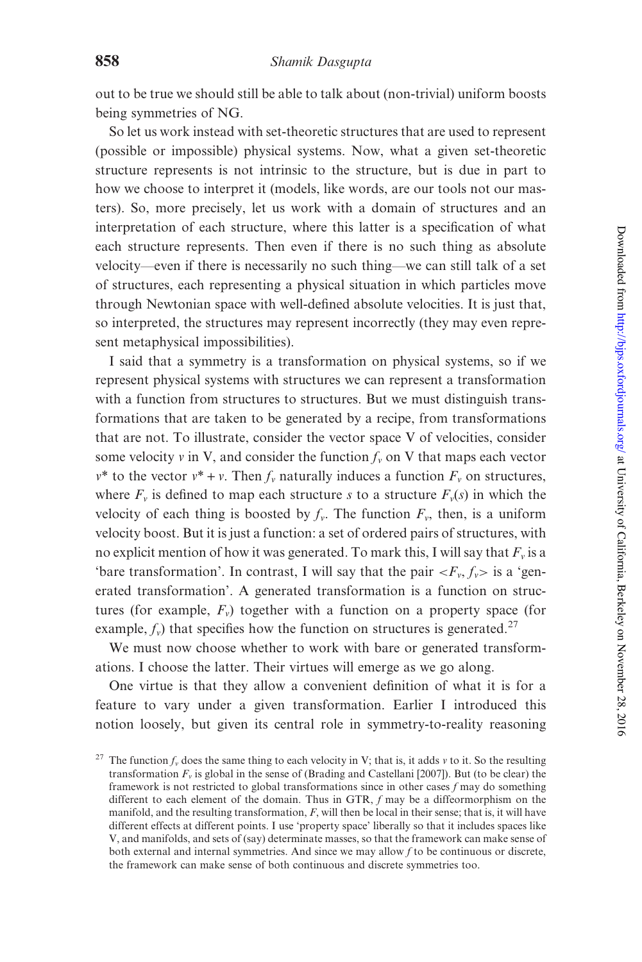out to be true we should still be able to talk about (non-trivial) uniform boosts being symmetries of NG.

So let us work instead with set-theoretic structures that are used to represent (possible or impossible) physical systems. Now, what a given set-theoretic structure represents is not intrinsic to the structure, but is due in part to how we choose to interpret it (models, like words, are our tools not our masters). So, more precisely, let us work with a domain of structures and an interpretation of each structure, where this latter is a specification of what each structure represents. Then even if there is no such thing as absolute velocity—even if there is necessarily no such thing—we can still talk of a set of structures, each representing a physical situation in which particles move through Newtonian space with well-defined absolute velocities. It is just that, so interpreted, the structures may represent incorrectly (they may even represent metaphysical impossibilities).

I said that a symmetry is a transformation on physical systems, so if we represent physical systems with structures we can represent a transformation with a function from structures to structures. But we must distinguish transformations that are taken to be generated by a recipe, from transformations that are not. To illustrate, consider the vector space V of velocities, consider some velocity v in V, and consider the function  $f_v$  on V that maps each vector  $v^*$  to the vector  $v^* + v$ . Then  $f_v$  naturally induces a function  $F_v$  on structures, where  $F_v$  is defined to map each structure s to a structure  $F_v(s)$  in which the velocity of each thing is boosted by  $f_v$ . The function  $F_v$ , then, is a uniform velocity boost. But it is just a function: a set of ordered pairs of structures, with no explicit mention of how it was generated. To mark this, I will say that  $F_v$  is a 'bare transformation'. In contrast, I will say that the pair  $\langle F_v, f_v \rangle$  is a 'generated transformation'. A generated transformation is a function on structures (for example,  $F_v$ ) together with a function on a property space (for example,  $f_y$ ) that specifies how the function on structures is generated.<sup>27</sup>

We must now choose whether to work with bare or generated transformations. I choose the latter. Their virtues will emerge as we go along.

One virtue is that they allow a convenient definition of what it is for a feature to vary under a given transformation. Earlier I introduced this notion loosely, but given its central role in symmetry-to-reality reasoning

<sup>&</sup>lt;sup>27</sup> The function  $f_y$  does the same thing to each velocity in V; that is, it adds v to it. So the resulting transformation  $F<sub>v</sub>$  is global in the sense of [\(Brading and Castellani \[2007\]\)](#page-40-0). But (to be clear) the framework is not restricted to global transformations since in other cases  $f$  may do something different to each element of the domain. Thus in GTR, f may be a diffeormorphism on the manifold, and the resulting transformation,  $F$ , will then be local in their sense; that is, it will have different effects at different points. I use 'property space' liberally so that it includes spaces like V, and manifolds, and sets of (say) determinate masses, so that the framework can make sense of both external and internal symmetries. And since we may allow  $f$  to be continuous or discrete, the framework can make sense of both continuous and discrete symmetries too.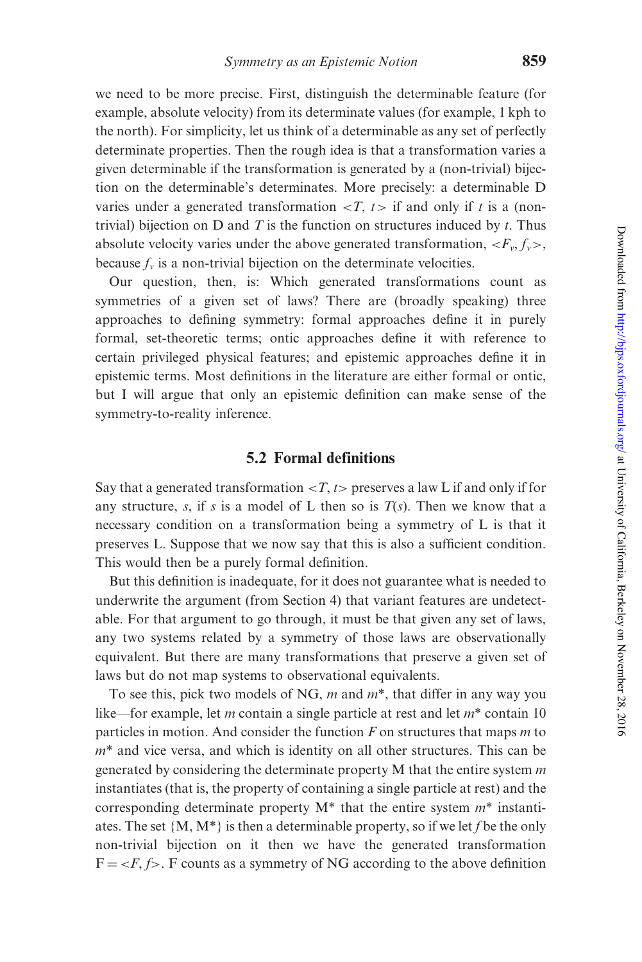we need to be more precise. First, distinguish the determinable feature (for example, absolute velocity) from its determinate values (for example, 1 kph to the north). For simplicity, let us think of a determinable as any set of perfectly determinate properties. Then the rough idea is that a transformation varies a given determinable if the transformation is generated by a (non-trivial) bijection on the determinable's determinates. More precisely: a determinable D varies under a generated transformation  $\langle T, t \rangle$  if and only if t is a (nontrivial) bijection on D and T is the function on structures induced by  $t$ . Thus absolute velocity varies under the above generated transformation,  $\langle F_v, f_v \rangle$ , because  $f<sub>v</sub>$  is a non-trivial bijection on the determinate velocities.

Our question, then, is: Which generated transformations count as symmetries of a given set of laws? There are (broadly speaking) three approaches to defining symmetry: formal approaches define it in purely formal, set-theoretic terms; ontic approaches define it with reference to certain privileged physical features; and epistemic approaches define it in epistemic terms. Most definitions in the literature are either formal or ontic, but I will argue that only an epistemic definition can make sense of the symmetry-to-reality inference.

#### 5.2 Formal definitions

Say that a generated transformation  $\langle T, t \rangle$  preserves a law L if and only if for any structure, s, if s is a model of L then so is  $T(s)$ . Then we know that a necessary condition on a transformation being a symmetry of L is that it preserves L. Suppose that we now say that this is also a sufficient condition. This would then be a purely formal definition.

But this definition is inadequate, for it does not guarantee what is needed to underwrite the argument (from Section 4) that variant features are undetectable. For that argument to go through, it must be that given any set of laws, any two systems related by a symmetry of those laws are observationally equivalent. But there are many transformations that preserve a given set of laws but do not map systems to observational equivalents.

To see this, pick two models of NG,  $m$  and  $m^*$ , that differ in any way you like—for example, let m contain a single particle at rest and let  $m^*$  contain 10 particles in motion. And consider the function  $F$  on structures that maps  $m$  to  $m^*$  and vice versa, and which is identity on all other structures. This can be generated by considering the determinate property M that the entire system  $m$ instantiates (that is, the property of containing a single particle at rest) and the corresponding determinate property  $M^*$  that the entire system  $m^*$  instantiates. The set  ${M, M^*}$  is then a determinable property, so if we let f be the only non-trivial bijection on it then we have the generated transformation  $F = \langle F, f \rangle$ . F counts as a symmetry of NG according to the above definition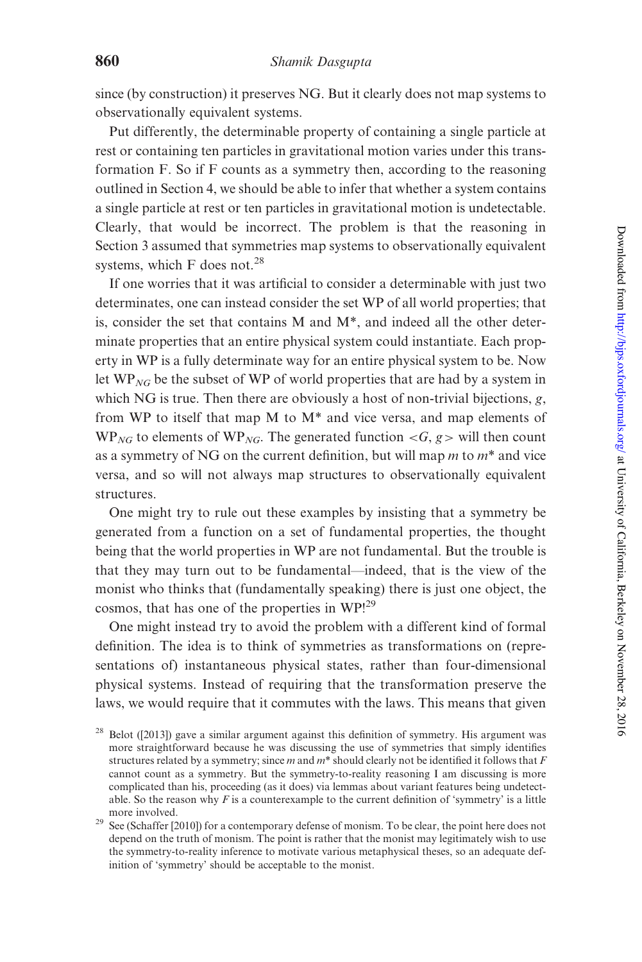since (by construction) it preserves NG. But it clearly does not map systems to observationally equivalent systems.

Put differently, the determinable property of containing a single particle at rest or containing ten particles in gravitational motion varies under this transformation F. So if F counts as a symmetry then, according to the reasoning outlined in Section 4, we should be able to infer that whether a system contains a single particle at rest or ten particles in gravitational motion is undetectable. Clearly, that would be incorrect. The problem is that the reasoning in Section 3 assumed that symmetries map systems to observationally equivalent systems, which F does not.<sup>28</sup>

If one worries that it was artificial to consider a determinable with just two determinates, one can instead consider the set WP of all world properties; that is, consider the set that contains M and M\*, and indeed all the other determinate properties that an entire physical system could instantiate. Each property in WP is a fully determinate way for an entire physical system to be. Now let  $WP_{NG}$  be the subset of WP of world properties that are had by a system in which NG is true. Then there are obviously a host of non-trivial bijections, g, from WP to itself that map M to M\* and vice versa, and map elements of  $WP_{NG}$  to elements of  $WP_{NG}$ . The generated function <6, g > will then count as a symmetry of NG on the current definition, but will map  $m$  to  $m^*$  and vice versa, and so will not always map structures to observationally equivalent structures.

One might try to rule out these examples by insisting that a symmetry be generated from a function on a set of fundamental properties, the thought being that the world properties in WP are not fundamental. But the trouble is that they may turn out to be fundamental—indeed, that is the view of the monist who thinks that (fundamentally speaking) there is just one object, the cosmos, that has one of the properties in WP!<sup>29</sup>

One might instead try to avoid the problem with a different kind of formal definition. The idea is to think of symmetries as transformations on (representations of) instantaneous physical states, rather than four-dimensional physical systems. Instead of requiring that the transformation preserve the laws, we would require that it commutes with the laws. This means that given

 $28$  Belot ([\[2013\]\)](#page-40-0) gave a similar argument against this definition of symmetry. His argument was more straightforward because he was discussing the use of symmetries that simply identifies structures related by a symmetry; since m and  $m^*$  should clearly not be identified it follows that F cannot count as a symmetry. But the symmetry-to-reality reasoning I am discussing is more complicated than his, proceeding (as it does) via lemmas about variant features being undetectable. So the reason why  $F$  is a counterexample to the current definition of 'symmetry' is a little

more involved.<br><sup>29</sup> See ([Schaffer \[2010\]\)](#page-41-0) for a contemporary defense of monism. To be clear, the point here does not depend on the truth of monism. The point is rather that the monist may legitimately wish to use the symmetry-to-reality inference to motivate various metaphysical theses, so an adequate definition of 'symmetry' should be acceptable to the monist.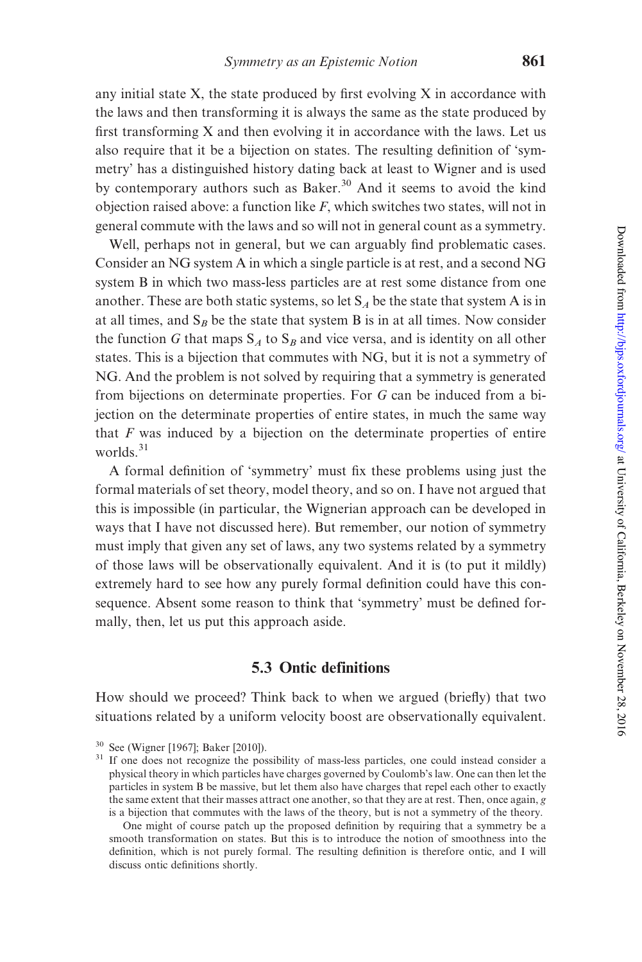any initial state  $X$ , the state produced by first evolving  $X$  in accordance with the laws and then transforming it is always the same as the state produced by first transforming X and then evolving it in accordance with the laws. Let us also require that it be a bijection on states. The resulting definition of 'symmetry' has a distinguished history dating back at least to Wigner and is used by contemporary authors such as Baker.<sup>30</sup> And it seems to avoid the kind objection raised above: a function like  $F$ , which switches two states, will not in general commute with the laws and so will not in general count as a symmetry.

Well, perhaps not in general, but we can arguably find problematic cases. Consider an NG system A in which a single particle is at rest, and a second NG system B in which two mass-less particles are at rest some distance from one another. These are both static systems, so let  $S_A$  be the state that system A is in at all times, and  $S_B$  be the state that system B is in at all times. Now consider the function G that maps  $S_A$  to  $S_B$  and vice versa, and is identity on all other states. This is a bijection that commutes with NG, but it is not a symmetry of NG. And the problem is not solved by requiring that a symmetry is generated from bijections on determinate properties. For G can be induced from a bijection on the determinate properties of entire states, in much the same way that  $F$  was induced by a bijection on the determinate properties of entire worlds. $31$ 

A formal definition of 'symmetry' must fix these problems using just the formal materials of set theory, model theory, and so on. I have not argued that this is impossible (in particular, the Wignerian approach can be developed in ways that I have not discussed here). But remember, our notion of symmetry must imply that given any set of laws, any two systems related by a symmetry of those laws will be observationally equivalent. And it is (to put it mildly) extremely hard to see how any purely formal definition could have this consequence. Absent some reason to think that 'symmetry' must be defined formally, then, let us put this approach aside.

#### 5.3 Ontic definitions

How should we proceed? Think back to when we argued (briefly) that two situations related by a uniform velocity boost are observationally equivalent.

 $30$  See ([Wigner \[1967\]](#page-41-0); [Baker \[2010\]\)](#page-40-0).  $31$  If one does not recognize the possibility of mass-less particles, one could instead consider a physical theory in which particles have charges governed by Coulomb's law. One can then let the particles in system B be massive, but let them also have charges that repel each other to exactly the same extent that their masses attract one another, so that they are at rest. Then, once again, g is a bijection that commutes with the laws of the theory, but is not a symmetry of the theory.

One might of course patch up the proposed definition by requiring that a symmetry be a smooth transformation on states. But this is to introduce the notion of smoothness into the definition, which is not purely formal. The resulting definition is therefore ontic, and I will discuss ontic definitions shortly.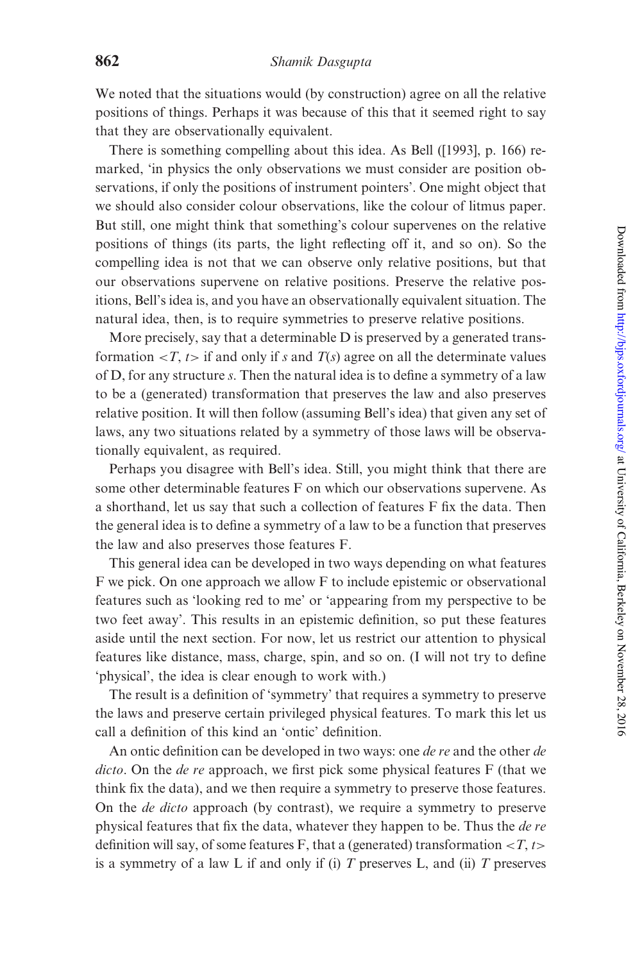We noted that the situations would (by construction) agree on all the relative positions of things. Perhaps it was because of this that it seemed right to say that they are observationally equivalent.

There is something compelling about this idea. As Bell ([\[1993\],](#page-40-0) p. 166) remarked, 'in physics the only observations we must consider are position observations, if only the positions of instrument pointers'. One might object that we should also consider colour observations, like the colour of litmus paper. But still, one might think that something's colour supervenes on the relative positions of things (its parts, the light reflecting off it, and so on). So the compelling idea is not that we can observe only relative positions, but that our observations supervene on relative positions. Preserve the relative positions, Bell's idea is, and you have an observationally equivalent situation. The natural idea, then, is to require symmetries to preserve relative positions.

More precisely, say that a determinable D is preserved by a generated transformation  $\langle T, t \rangle$  if and only if s and  $T(s)$  agree on all the determinate values of D, for any structure s. Then the natural idea is to define a symmetry of a law to be a (generated) transformation that preserves the law and also preserves relative position. It will then follow (assuming Bell's idea) that given any set of laws, any two situations related by a symmetry of those laws will be observationally equivalent, as required.

Perhaps you disagree with Bell's idea. Still, you might think that there are some other determinable features F on which our observations supervene. As a shorthand, let us say that such a collection of features F fix the data. Then the general idea is to define a symmetry of a law to be a function that preserves the law and also preserves those features F.

This general idea can be developed in two ways depending on what features F we pick. On one approach we allow F to include epistemic or observational features such as 'looking red to me' or 'appearing from my perspective to be two feet away'. This results in an epistemic definition, so put these features aside until the next section. For now, let us restrict our attention to physical features like distance, mass, charge, spin, and so on. (I will not try to define 'physical', the idea is clear enough to work with.)

The result is a definition of 'symmetry' that requires a symmetry to preserve the laws and preserve certain privileged physical features. To mark this let us call a definition of this kind an 'ontic' definition.

An ontic definition can be developed in two ways: one *de re* and the other *de*  $dicto$ . On the *de re* approach, we first pick some physical features  $F$  (that we think fix the data), and we then require a symmetry to preserve those features. On the de dicto approach (by contrast), we require a symmetry to preserve physical features that fix the data, whatever they happen to be. Thus the de re definition will say, of some features F, that a (generated) transformation  $\langle T, t \rangle$ is a symmetry of a law L if and only if (i)  $T$  preserves L, and (ii)  $T$  preserves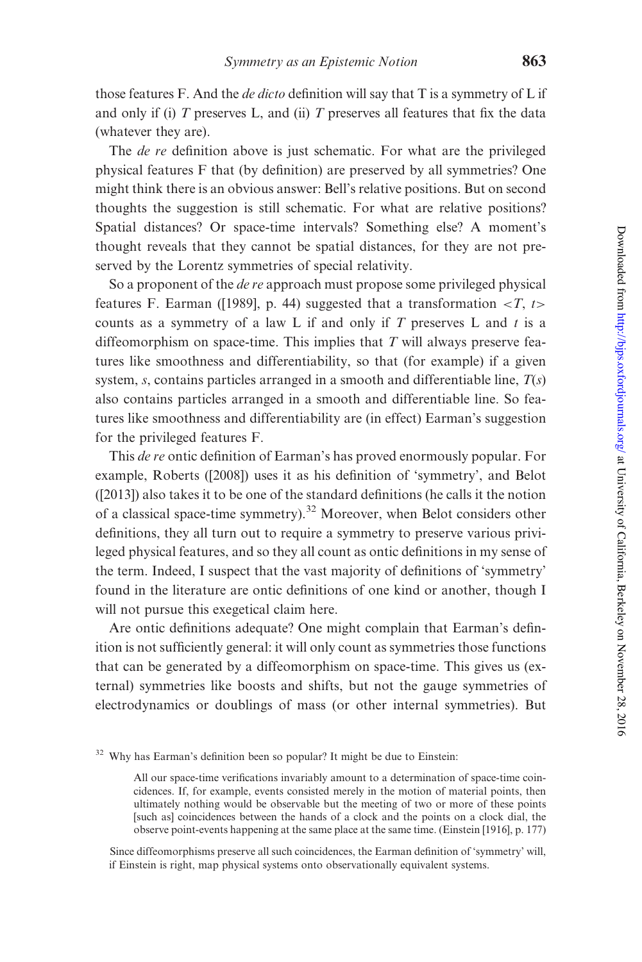those features F. And the *de dicto* definition will say that T is a symmetry of L if and only if (i)  $T$  preserves L, and (ii)  $T$  preserves all features that fix the data (whatever they are).

The *de re* definition above is just schematic. For what are the privileged physical features F that (by definition) are preserved by all symmetries? One might think there is an obvious answer: Bell's relative positions. But on second thoughts the suggestion is still schematic. For what are relative positions? Spatial distances? Or space-time intervals? Something else? A moment's thought reveals that they cannot be spatial distances, for they are not preserved by the Lorentz symmetries of special relativity.

So a proponent of the *de re* approach must propose some privileged physical features F. Earman ([\[1989\]](#page-40-0), p. 44) suggested that a transformation  $\langle T, t \rangle$ counts as a symmetry of a law L if and only if  $T$  preserves L and  $t$  is a diffeomorphism on space-time. This implies that  $T$  will always preserve features like smoothness and differentiability, so that (for example) if a given system, s, contains particles arranged in a smooth and differentiable line,  $T(s)$ also contains particles arranged in a smooth and differentiable line. So features like smoothness and differentiability are (in effect) Earman's suggestion for the privileged features F.

This de re ontic definition of Earman's has proved enormously popular. For example, Roberts [\(\[2008\]](#page-41-0)) uses it as his definition of 'symmetry', and Belot ([\[2013\]\)](#page-40-0) also takes it to be one of the standard definitions (he calls it the notion of a classical space-time symmetry).<sup>32</sup> Moreover, when Belot considers other definitions, they all turn out to require a symmetry to preserve various privileged physical features, and so they all count as ontic definitions in my sense of the term. Indeed, I suspect that the vast majority of definitions of 'symmetry' found in the literature are ontic definitions of one kind or another, though I will not pursue this exegetical claim here.

Are ontic definitions adequate? One might complain that Earman's definition is not sufficiently general: it will only count as symmetries those functions that can be generated by a diffeomorphism on space-time. This gives us (external) symmetries like boosts and shifts, but not the gauge symmetries of electrodynamics or doublings of mass (or other internal symmetries). But

 $32$  Why has Earman's definition been so popular? It might be due to Einstein:

All our space-time verifications invariably amount to a determination of space-time coincidences. If, for example, events consisted merely in the motion of material points, then ultimately nothing would be observable but the meeting of two or more of these points [such as] coincidences between the hands of a clock and the points on a clock dial, the observe point-events happening at the same place at the same time. [\(Einstein \[1916\],](#page-40-0) p. 177)

Since diffeomorphisms preserve all such coincidences, the Earman definition of 'symmetry' will, if Einstein is right, map physical systems onto observationally equivalent systems.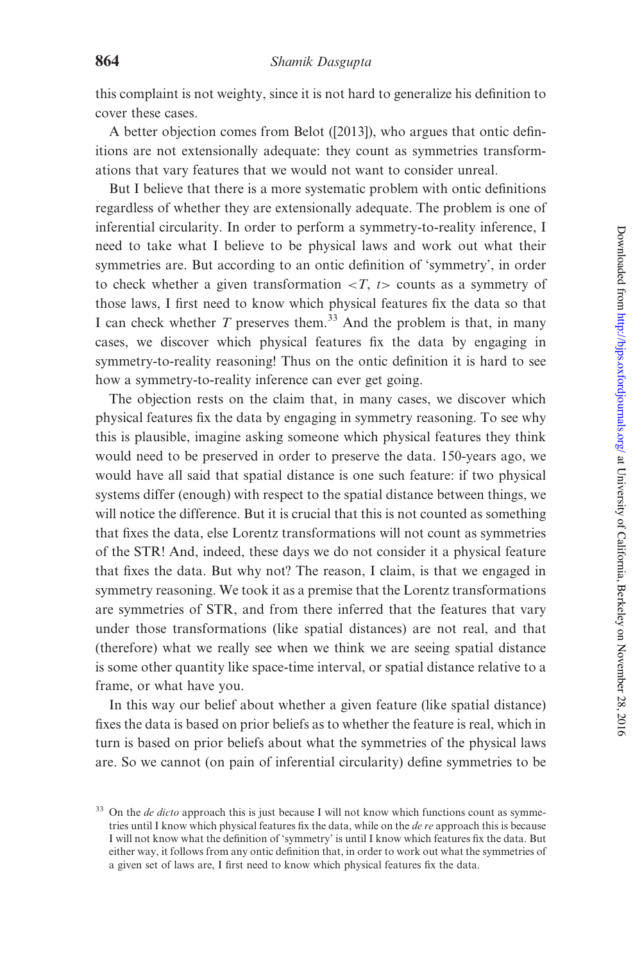this complaint is not weighty, since it is not hard to generalize his definition to cover these cases.

A better objection comes from Belot ([\[2013\]\)](#page-40-0), who argues that ontic definitions are not extensionally adequate: they count as symmetries transformations that vary features that we would not want to consider unreal.

But I believe that there is a more systematic problem with ontic definitions regardless of whether they are extensionally adequate. The problem is one of inferential circularity. In order to perform a symmetry-to-reality inference, I need to take what I believe to be physical laws and work out what their symmetries are. But according to an ontic definition of 'symmetry', in order to check whether a given transformation  $\langle T, t \rangle$  counts as a symmetry of those laws, I first need to know which physical features fix the data so that I can check whether  $T$  preserves them.<sup>33</sup> And the problem is that, in many cases, we discover which physical features fix the data by engaging in symmetry-to-reality reasoning! Thus on the ontic definition it is hard to see how a symmetry-to-reality inference can ever get going.

The objection rests on the claim that, in many cases, we discover which physical features fix the data by engaging in symmetry reasoning. To see why this is plausible, imagine asking someone which physical features they think would need to be preserved in order to preserve the data. 150-years ago, we would have all said that spatial distance is one such feature: if two physical systems differ (enough) with respect to the spatial distance between things, we will notice the difference. But it is crucial that this is not counted as something that fixes the data, else Lorentz transformations will not count as symmetries of the STR! And, indeed, these days we do not consider it a physical feature that fixes the data. But why not? The reason, I claim, is that we engaged in symmetry reasoning. We took it as a premise that the Lorentz transformations are symmetries of STR, and from there inferred that the features that vary under those transformations (like spatial distances) are not real, and that (therefore) what we really see when we think we are seeing spatial distance is some other quantity like space-time interval, or spatial distance relative to a frame, or what have you.

In this way our belief about whether a given feature (like spatial distance) fixes the data is based on prior beliefs as to whether the feature is real, which in turn is based on prior beliefs about what the symmetries of the physical laws are. So we cannot (on pain of inferential circularity) define symmetries to be

 $33$  On the *de dicto* approach this is just because I will not know which functions count as symmetries until I know which physical features fix the data, while on the *de re* approach this is because I will not know what the definition of 'symmetry' is until I know which features fix the data. But either way, it follows from any ontic definition that, in order to work out what the symmetries of a given set of laws are, I first need to know which physical features fix the data.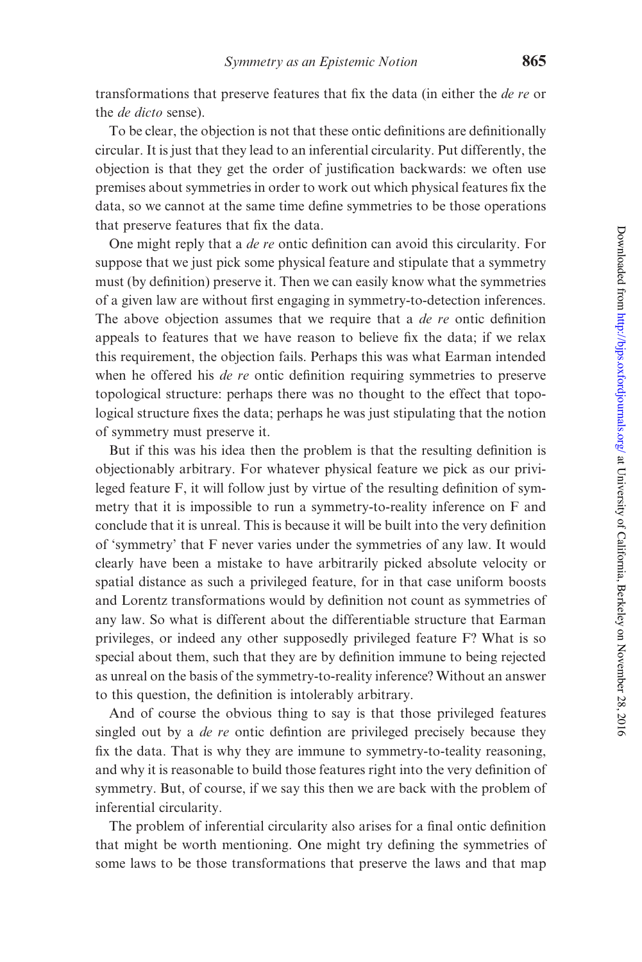transformations that preserve features that fix the data (in either the de re or the *de dicto* sense).

To be clear, the objection is not that these ontic definitions are definitionally circular. It is just that they lead to an inferential circularity. Put differently, the objection is that they get the order of justification backwards: we often use premises about symmetries in order to work out which physical features fix the data, so we cannot at the same time define symmetries to be those operations that preserve features that fix the data.

One might reply that a de re ontic definition can avoid this circularity. For suppose that we just pick some physical feature and stipulate that a symmetry must (by definition) preserve it. Then we can easily know what the symmetries of a given law are without first engaging in symmetry-to-detection inferences. The above objection assumes that we require that a *de re* ontic definition appeals to features that we have reason to believe fix the data; if we relax this requirement, the objection fails. Perhaps this was what Earman intended when he offered his de re ontic definition requiring symmetries to preserve topological structure: perhaps there was no thought to the effect that topological structure fixes the data; perhaps he was just stipulating that the notion of symmetry must preserve it.

But if this was his idea then the problem is that the resulting definition is objectionably arbitrary. For whatever physical feature we pick as our privileged feature F, it will follow just by virtue of the resulting definition of symmetry that it is impossible to run a symmetry-to-reality inference on F and conclude that it is unreal. This is because it will be built into the very definition of 'symmetry' that F never varies under the symmetries of any law. It would clearly have been a mistake to have arbitrarily picked absolute velocity or spatial distance as such a privileged feature, for in that case uniform boosts and Lorentz transformations would by definition not count as symmetries of any law. So what is different about the differentiable structure that Earman privileges, or indeed any other supposedly privileged feature F? What is so special about them, such that they are by definition immune to being rejected as unreal on the basis of the symmetry-to-reality inference? Without an answer to this question, the definition is intolerably arbitrary.

And of course the obvious thing to say is that those privileged features singled out by a *de re* ontic defintion are privileged precisely because they fix the data. That is why they are immune to symmetry-to-teality reasoning, and why it is reasonable to build those features right into the very definition of symmetry. But, of course, if we say this then we are back with the problem of inferential circularity.

The problem of inferential circularity also arises for a final ontic definition that might be worth mentioning. One might try defining the symmetries of some laws to be those transformations that preserve the laws and that map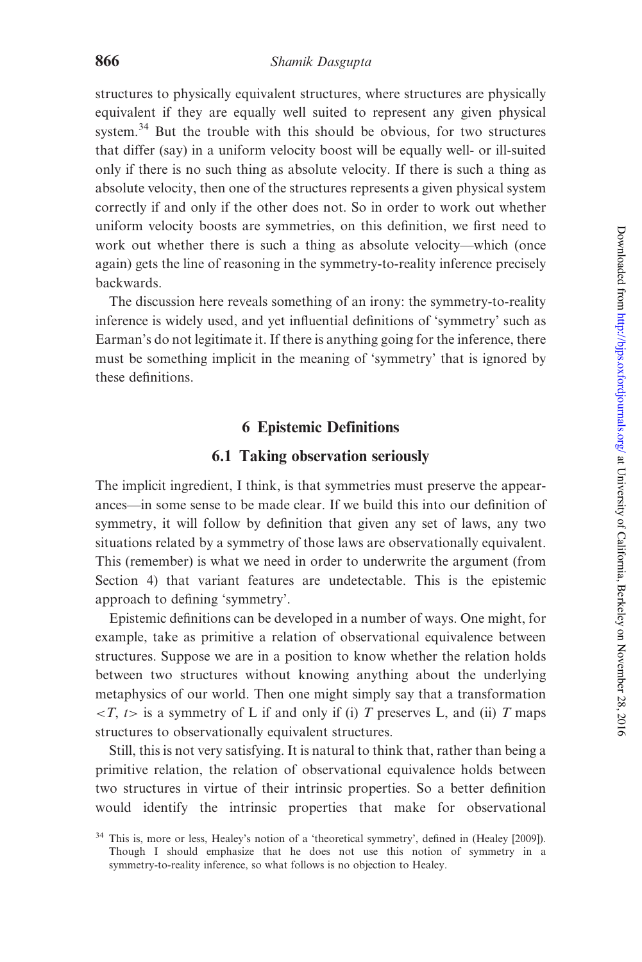structures to physically equivalent structures, where structures are physically equivalent if they are equally well suited to represent any given physical system.<sup>34</sup> But the trouble with this should be obvious, for two structures that differ (say) in a uniform velocity boost will be equally well- or ill-suited only if there is no such thing as absolute velocity. If there is such a thing as absolute velocity, then one of the structures represents a given physical system correctly if and only if the other does not. So in order to work out whether uniform velocity boosts are symmetries, on this definition, we first need to work out whether there is such a thing as absolute velocity—which (once again) gets the line of reasoning in the symmetry-to-reality inference precisely backwards.

The discussion here reveals something of an irony: the symmetry-to-reality inference is widely used, and yet influential definitions of 'symmetry' such as Earman's do not legitimate it. If there is anything going for the inference, there must be something implicit in the meaning of 'symmetry' that is ignored by these definitions.

## 6 Epistemic Definitions

#### 6.1 Taking observation seriously

The implicit ingredient, I think, is that symmetries must preserve the appearances—in some sense to be made clear. If we build this into our definition of symmetry, it will follow by definition that given any set of laws, any two situations related by a symmetry of those laws are observationally equivalent. This (remember) is what we need in order to underwrite the argument (from Section 4) that variant features are undetectable. This is the epistemic approach to defining 'symmetry'.

Epistemic definitions can be developed in a number of ways. One might, for example, take as primitive a relation of observational equivalence between structures. Suppose we are in a position to know whether the relation holds between two structures without knowing anything about the underlying metaphysics of our world. Then one might simply say that a transformation  $\langle T, t \rangle$  is a symmetry of L if and only if (i) T preserves L, and (ii) T maps structures to observationally equivalent structures.

Still, this is not very satisfying. It is natural to think that, rather than being a primitive relation, the relation of observational equivalence holds between two structures in virtue of their intrinsic properties. So a better definition would identify the intrinsic properties that make for observational

<sup>34</sup> This is, more or less, Healey's notion of a 'theoretical symmetry', defined in [\(Healey \[2009\]](#page-40-0)). Though I should emphasize that he does not use this notion of symmetry in a symmetry-to-reality inference, so what follows is no objection to Healey.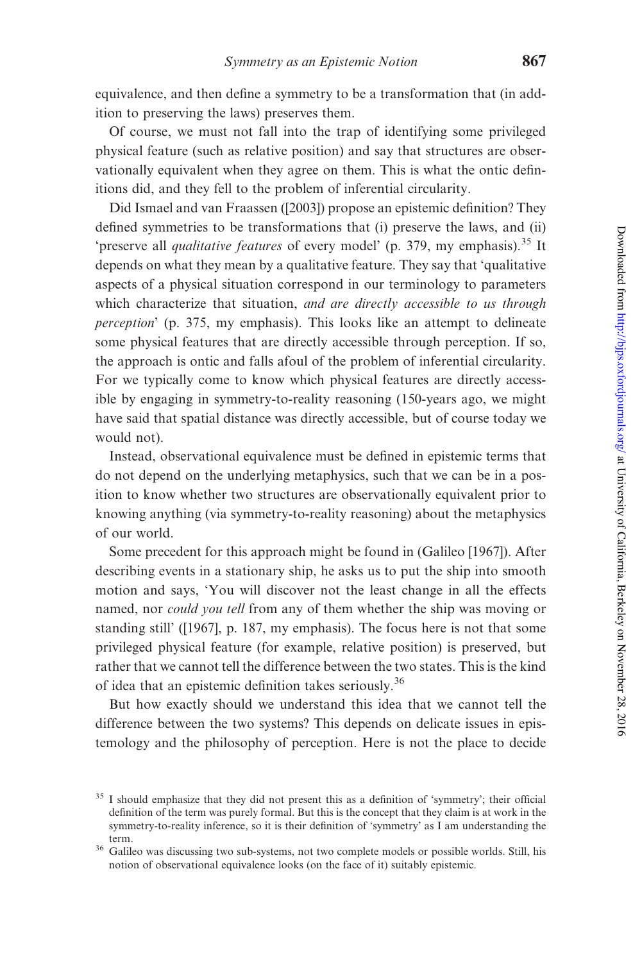equivalence, and then define a symmetry to be a transformation that (in addition to preserving the laws) preserves them.

Of course, we must not fall into the trap of identifying some privileged physical feature (such as relative position) and say that structures are observationally equivalent when they agree on them. This is what the ontic definitions did, and they fell to the problem of inferential circularity.

Did Ismael and van Fraassen ([\[2003\]\)](#page-41-0) propose an epistemic definition? They defined symmetries to be transformations that (i) preserve the laws, and (ii) 'preserve all *qualitative features* of every model' (p. 379, my emphasis).<sup>35</sup> It depends on what they mean by a qualitative feature. They say that 'qualitative aspects of a physical situation correspond in our terminology to parameters which characterize that situation, and are directly accessible to us through perception' (p. 375, my emphasis). This looks like an attempt to delineate some physical features that are directly accessible through perception. If so, the approach is ontic and falls afoul of the problem of inferential circularity. For we typically come to know which physical features are directly accessible by engaging in symmetry-to-reality reasoning (150-years ago, we might have said that spatial distance was directly accessible, but of course today we would not).

Instead, observational equivalence must be defined in epistemic terms that do not depend on the underlying metaphysics, such that we can be in a position to know whether two structures are observationally equivalent prior to knowing anything (via symmetry-to-reality reasoning) about the metaphysics of our world.

Some precedent for this approach might be found in (Galileo [\[1967\]](#page-40-0)). After describing events in a stationary ship, he asks us to put the ship into smooth motion and says, 'You will discover not the least change in all the effects named, nor could you tell from any of them whether the ship was moving or standing still' [\(\[1967\]](#page-40-0), p. 187, my emphasis). The focus here is not that some privileged physical feature (for example, relative position) is preserved, but rather that we cannot tell the difference between the two states. This is the kind of idea that an epistemic definition takes seriously.<sup>36</sup>

But how exactly should we understand this idea that we cannot tell the difference between the two systems? This depends on delicate issues in epistemology and the philosophy of perception. Here is not the place to decide

<sup>&</sup>lt;sup>35</sup> I should emphasize that they did not present this as a definition of 'symmetry'; their official definition of the term was purely formal. But this is the concept that they claim is at work in the symmetry-to-reality inference, so it is their definition of 'symmetry' as I am understanding the

term. <sup>36</sup> Galileo was discussing two sub-systems, not two complete models or possible worlds. Still, his notion of observational equivalence looks (on the face of it) suitably epistemic.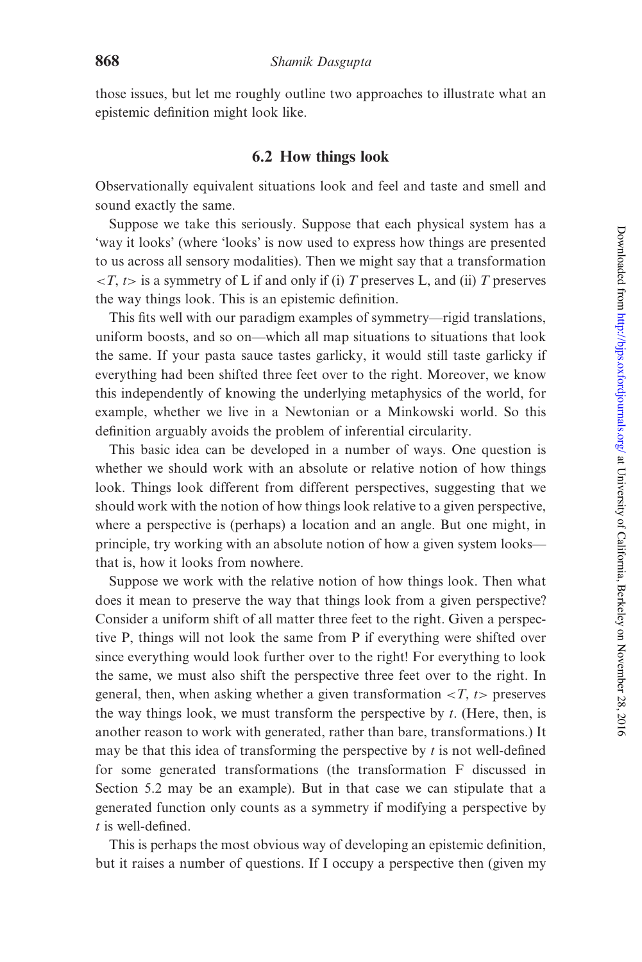those issues, but let me roughly outline two approaches to illustrate what an epistemic definition might look like.

#### 6.2 How things look

Observationally equivalent situations look and feel and taste and smell and sound exactly the same.

Suppose we take this seriously. Suppose that each physical system has a 'way it looks' (where 'looks' is now used to express how things are presented to us across all sensory modalities). Then we might say that a transformation  $\langle T, t \rangle$  is a symmetry of L if and only if (i) T preserves L, and (ii) T preserves the way things look. This is an epistemic definition.

This fits well with our paradigm examples of symmetry—rigid translations, uniform boosts, and so on—which all map situations to situations that look the same. If your pasta sauce tastes garlicky, it would still taste garlicky if everything had been shifted three feet over to the right. Moreover, we know this independently of knowing the underlying metaphysics of the world, for example, whether we live in a Newtonian or a Minkowski world. So this definition arguably avoids the problem of inferential circularity.

This basic idea can be developed in a number of ways. One question is whether we should work with an absolute or relative notion of how things look. Things look different from different perspectives, suggesting that we should work with the notion of how things look relative to a given perspective, where a perspective is (perhaps) a location and an angle. But one might, in principle, try working with an absolute notion of how a given system looks that is, how it looks from nowhere.

Suppose we work with the relative notion of how things look. Then what does it mean to preserve the way that things look from a given perspective? Consider a uniform shift of all matter three feet to the right. Given a perspective P, things will not look the same from P if everything were shifted over since everything would look further over to the right! For everything to look the same, we must also shift the perspective three feet over to the right. In general, then, when asking whether a given transformation  $\langle T, t \rangle$  preserves the way things look, we must transform the perspective by  $t$ . (Here, then, is another reason to work with generated, rather than bare, transformations.) It may be that this idea of transforming the perspective by  $t$  is not well-defined for some generated transformations (the transformation F discussed in Section 5.2 may be an example). But in that case we can stipulate that a generated function only counts as a symmetry if modifying a perspective by t is well-defined.

This is perhaps the most obvious way of developing an epistemic definition, but it raises a number of questions. If I occupy a perspective then (given my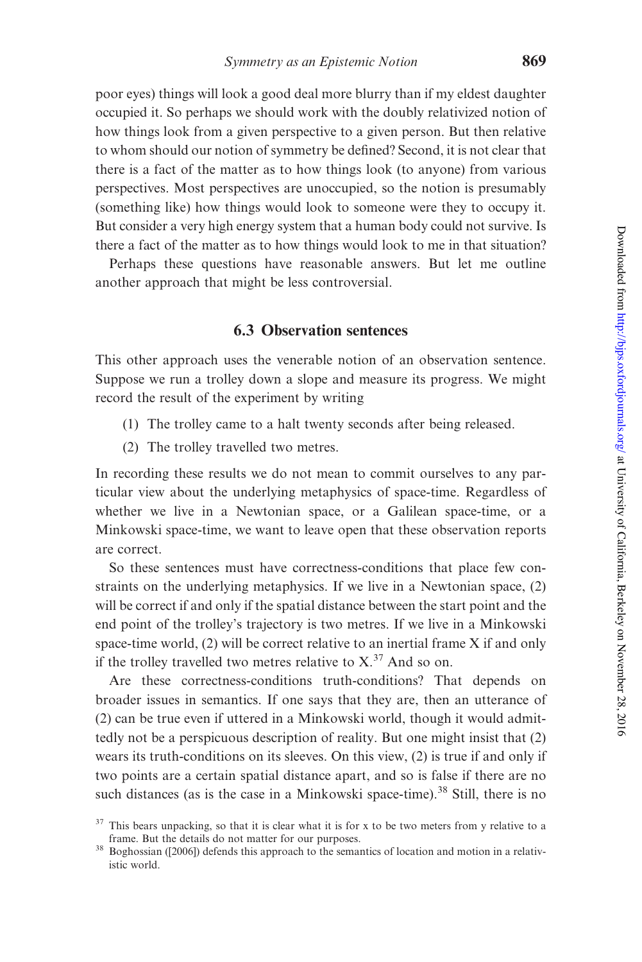poor eyes) things will look a good deal more blurry than if my eldest daughter occupied it. So perhaps we should work with the doubly relativized notion of how things look from a given perspective to a given person. But then relative to whom should our notion of symmetry be defined? Second, it is not clear that there is a fact of the matter as to how things look (to anyone) from various perspectives. Most perspectives are unoccupied, so the notion is presumably (something like) how things would look to someone were they to occupy it. But consider a very high energy system that a human body could not survive. Is there a fact of the matter as to how things would look to me in that situation?

Perhaps these questions have reasonable answers. But let me outline another approach that might be less controversial.

## 6.3 Observation sentences

This other approach uses the venerable notion of an observation sentence. Suppose we run a trolley down a slope and measure its progress. We might record the result of the experiment by writing

- (1) The trolley came to a halt twenty seconds after being released.
- (2) The trolley travelled two metres.

In recording these results we do not mean to commit ourselves to any particular view about the underlying metaphysics of space-time. Regardless of whether we live in a Newtonian space, or a Galilean space-time, or a Minkowski space-time, we want to leave open that these observation reports are correct.

So these sentences must have correctness-conditions that place few constraints on the underlying metaphysics. If we live in a Newtonian space, (2) will be correct if and only if the spatial distance between the start point and the end point of the trolley's trajectory is two metres. If we live in a Minkowski space-time world, (2) will be correct relative to an inertial frame X if and only if the trolley travelled two metres relative to  $X^{37}$  And so on.

Are these correctness-conditions truth-conditions? That depends on broader issues in semantics. If one says that they are, then an utterance of (2) can be true even if uttered in a Minkowski world, though it would admittedly not be a perspicuous description of reality. But one might insist that (2) wears its truth-conditions on its sleeves. On this view, (2) is true if and only if two points are a certain spatial distance apart, and so is false if there are no such distances (as is the case in a Minkowski space-time).<sup>38</sup> Still, there is no

 $37$  This bears unpacking, so that it is clear what it is for x to be two meters from y relative to a frame. But the details do not matter for our purposes.<br><sup>38</sup> Boghossian [\(\[2006\]](#page-40-0)) defends this approach to the semantics of location and motion in a relativ-

istic world.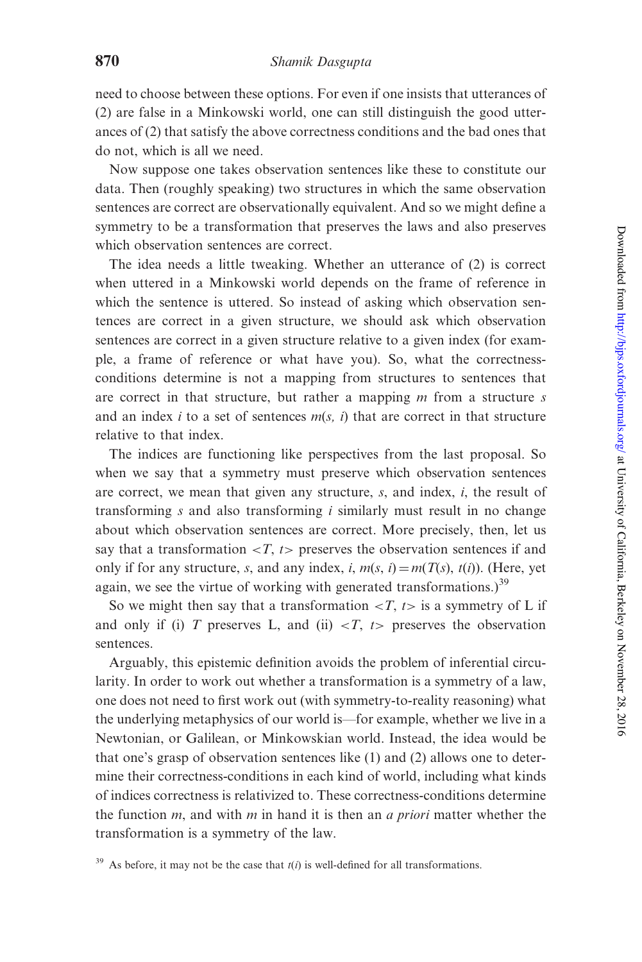need to choose between these options. For even if one insists that utterances of (2) are false in a Minkowski world, one can still distinguish the good utterances of (2) that satisfy the above correctness conditions and the bad ones that do not, which is all we need.

Now suppose one takes observation sentences like these to constitute our data. Then (roughly speaking) two structures in which the same observation sentences are correct are observationally equivalent. And so we might define a symmetry to be a transformation that preserves the laws and also preserves which observation sentences are correct.

The idea needs a little tweaking. Whether an utterance of (2) is correct when uttered in a Minkowski world depends on the frame of reference in which the sentence is uttered. So instead of asking which observation sentences are correct in a given structure, we should ask which observation sentences are correct in a given structure relative to a given index (for example, a frame of reference or what have you). So, what the correctnessconditions determine is not a mapping from structures to sentences that are correct in that structure, but rather a mapping  $m$  from a structure  $s$ and an index i to a set of sentences  $m(s, i)$  that are correct in that structure relative to that index.

The indices are functioning like perspectives from the last proposal. So when we say that a symmetry must preserve which observation sentences are correct, we mean that given any structure, s, and index, i, the result of transforming  $s$  and also transforming  $i$  similarly must result in no change about which observation sentences are correct. More precisely, then, let us say that a transformation  $\langle T, t \rangle$  preserves the observation sentences if and only if for any structure, s, and any index, i,  $m(s, i) = m(T(s), t(i))$ . (Here, yet again, we see the virtue of working with generated transformations.)<sup>39</sup>

So we might then say that a transformation  $\langle T, t \rangle$  is a symmetry of L if and only if (i) T preserves L, and (ii)  $\langle T, t \rangle$  preserves the observation sentences.

Arguably, this epistemic definition avoids the problem of inferential circularity. In order to work out whether a transformation is a symmetry of a law, one does not need to first work out (with symmetry-to-reality reasoning) what the underlying metaphysics of our world is—for example, whether we live in a Newtonian, or Galilean, or Minkowskian world. Instead, the idea would be that one's grasp of observation sentences like (1) and (2) allows one to determine their correctness-conditions in each kind of world, including what kinds of indices correctness is relativized to. These correctness-conditions determine the function  $m$ , and with  $m$  in hand it is then an  $a$  priori matter whether the transformation is a symmetry of the law.

<sup>&</sup>lt;sup>39</sup> As before, it may not be the case that  $t(i)$  is well-defined for all transformations.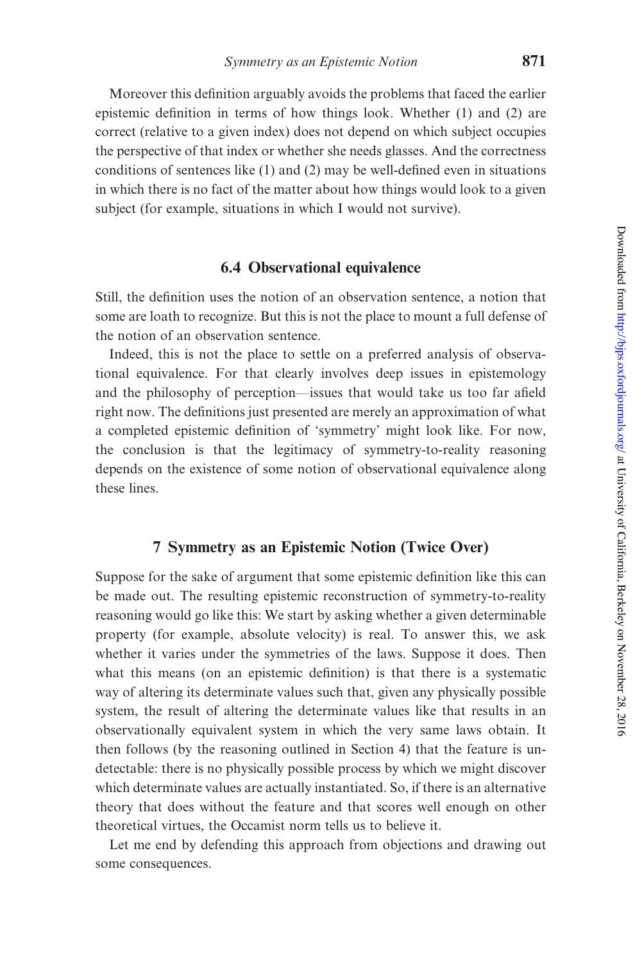Moreover this definition arguably avoids the problems that faced the earlier epistemic definition in terms of how things look. Whether (1) and (2) are correct (relative to a given index) does not depend on which subject occupies the perspective of that index or whether she needs glasses. And the correctness conditions of sentences like (1) and (2) may be well-defined even in situations in which there is no fact of the matter about how things would look to a given subject (for example, situations in which I would not survive).

# 6.4 Observational equivalence

Still, the definition uses the notion of an observation sentence, a notion that some are loath to recognize. But this is not the place to mount a full defense of the notion of an observation sentence.

Indeed, this is not the place to settle on a preferred analysis of observational equivalence. For that clearly involves deep issues in epistemology and the philosophy of perception—issues that would take us too far afield right now. The definitions just presented are merely an approximation of what a completed epistemic definition of 'symmetry' might look like. For now, the conclusion is that the legitimacy of symmetry-to-reality reasoning depends on the existence of some notion of observational equivalence along these lines.

# 7 Symmetry as an Epistemic Notion (Twice Over)

Suppose for the sake of argument that some epistemic definition like this can be made out. The resulting epistemic reconstruction of symmetry-to-reality reasoning would go like this: We start by asking whether a given determinable property (for example, absolute velocity) is real. To answer this, we ask whether it varies under the symmetries of the laws. Suppose it does. Then what this means (on an epistemic definition) is that there is a systematic way of altering its determinate values such that, given any physically possible system, the result of altering the determinate values like that results in an observationally equivalent system in which the very same laws obtain. It then follows (by the reasoning outlined in Section 4) that the feature is undetectable: there is no physically possible process by which we might discover which determinate values are actually instantiated. So, if there is an alternative theory that does without the feature and that scores well enough on other theoretical virtues, the Occamist norm tells us to believe it.

Let me end by defending this approach from objections and drawing out some consequences.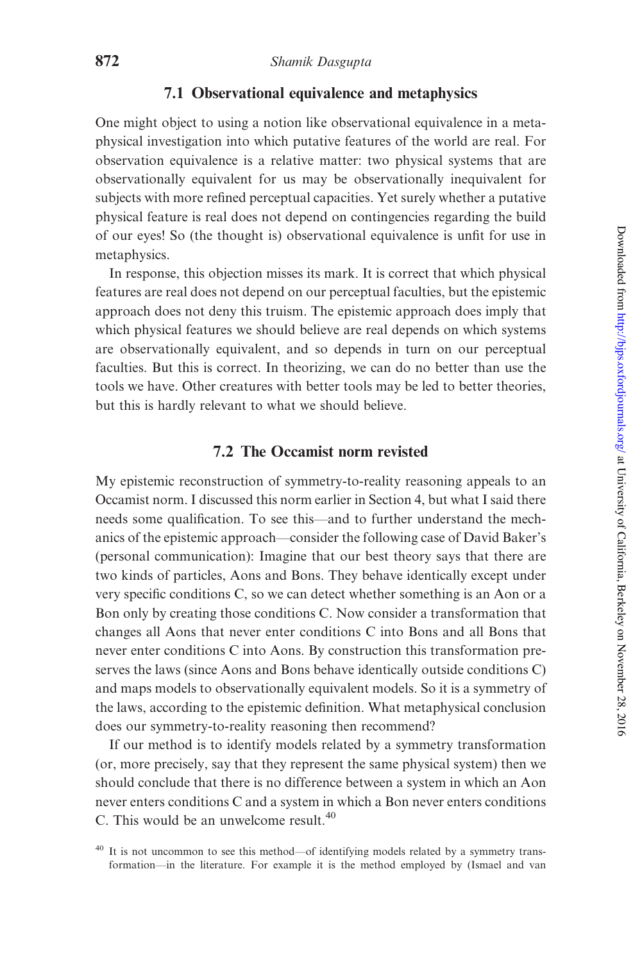## 7.1 Observational equivalence and metaphysics

One might object to using a notion like observational equivalence in a metaphysical investigation into which putative features of the world are real. For observation equivalence is a relative matter: two physical systems that are observationally equivalent for us may be observationally inequivalent for subjects with more refined perceptual capacities. Yet surely whether a putative physical feature is real does not depend on contingencies regarding the build of our eyes! So (the thought is) observational equivalence is unfit for use in metaphysics.

In response, this objection misses its mark. It is correct that which physical features are real does not depend on our perceptual faculties, but the epistemic approach does not deny this truism. The epistemic approach does imply that which physical features we should believe are real depends on which systems are observationally equivalent, and so depends in turn on our perceptual faculties. But this is correct. In theorizing, we can do no better than use the tools we have. Other creatures with better tools may be led to better theories, but this is hardly relevant to what we should believe.

### 7.2 The Occamist norm revisted

My epistemic reconstruction of symmetry-to-reality reasoning appeals to an Occamist norm. I discussed this norm earlier in Section 4, but what I said there needs some qualification. To see this—and to further understand the mechanics of the epistemic approach—consider the following case of David Baker's (personal communication): Imagine that our best theory says that there are two kinds of particles, Aons and Bons. They behave identically except under very specific conditions C, so we can detect whether something is an Aon or a Bon only by creating those conditions C. Now consider a transformation that changes all Aons that never enter conditions C into Bons and all Bons that never enter conditions C into Aons. By construction this transformation preserves the laws (since Aons and Bons behave identically outside conditions C) and maps models to observationally equivalent models. So it is a symmetry of the laws, according to the epistemic definition. What metaphysical conclusion does our symmetry-to-reality reasoning then recommend?

If our method is to identify models related by a symmetry transformation (or, more precisely, say that they represent the same physical system) then we should conclude that there is no difference between a system in which an Aon never enters conditions C and a system in which a Bon never enters conditions C. This would be an unwelcome result.<sup>40</sup>

It is not uncommon to see this method—of identifying models related by a symmetry transformation—in the literature. For example it is the method employed by ([Ismael and van](#page-41-0)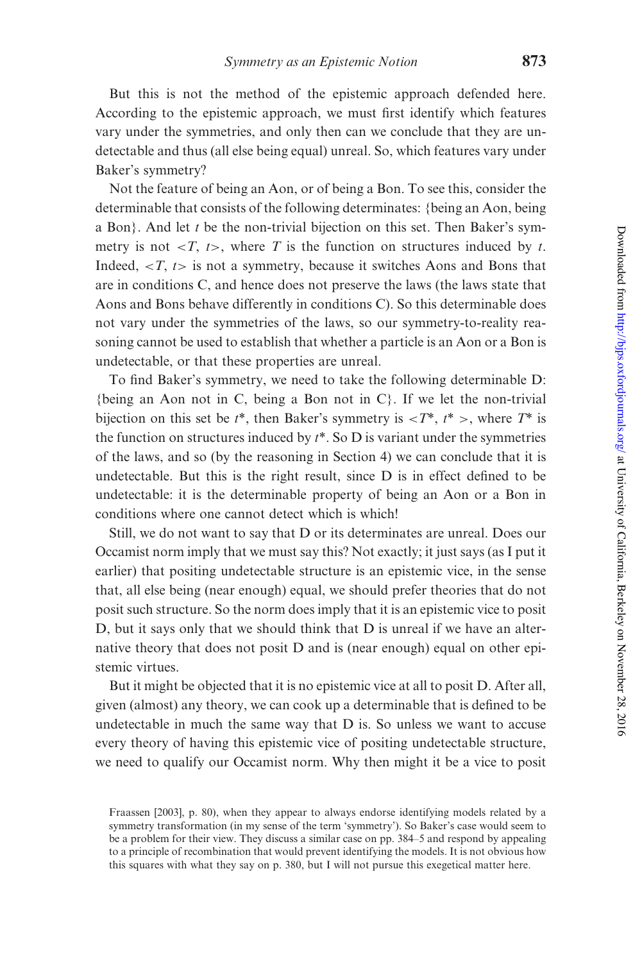But this is not the method of the epistemic approach defended here. According to the epistemic approach, we must first identify which features vary under the symmetries, and only then can we conclude that they are undetectable and thus (all else being equal) unreal. So, which features vary under Baker's symmetry?

Not the feature of being an Aon, or of being a Bon. To see this, consider the determinable that consists of the following determinates: {being an Aon, being a Bon $\}$ . And let t be the non-trivial bijection on this set. Then Baker's symmetry is not  $\langle T, t \rangle$ , where T is the function on structures induced by t. Indeed,  $\langle T, t \rangle$  is not a symmetry, because it switches Aons and Bons that are in conditions C, and hence does not preserve the laws (the laws state that Aons and Bons behave differently in conditions C). So this determinable does not vary under the symmetries of the laws, so our symmetry-to-reality reasoning cannot be used to establish that whether a particle is an Aon or a Bon is undetectable, or that these properties are unreal.

To find Baker's symmetry, we need to take the following determinable D: {being an Aon not in C, being a Bon not in C}. If we let the non-trivial bijection on this set be  $t^*$ , then Baker's symmetry is  $\langle T^*, t^* \rangle$ , where  $T^*$  is the function on structures induced by  $t^*$ . So D is variant under the symmetries of the laws, and so (by the reasoning in Section 4) we can conclude that it is undetectable. But this is the right result, since D is in effect defined to be undetectable: it is the determinable property of being an Aon or a Bon in conditions where one cannot detect which is which!

Still, we do not want to say that D or its determinates are unreal. Does our Occamist norm imply that we must say this? Not exactly; it just says (as I put it earlier) that positing undetectable structure is an epistemic vice, in the sense that, all else being (near enough) equal, we should prefer theories that do not posit such structure. So the norm does imply that it is an epistemic vice to posit D, but it says only that we should think that D is unreal if we have an alternative theory that does not posit D and is (near enough) equal on other epistemic virtues.

But it might be objected that it is no epistemic vice at all to posit D. After all, given (almost) any theory, we can cook up a determinable that is defined to be undetectable in much the same way that D is. So unless we want to accuse every theory of having this epistemic vice of positing undetectable structure, we need to qualify our Occamist norm. Why then might it be a vice to posit

[Fraassen \[2003\]](#page-41-0), p. 80), when they appear to always endorse identifying models related by a symmetry transformation (in my sense of the term 'symmetry'). So Baker's case would seem to be a problem for their view. They discuss a similar case on pp. 384–5 and respond by appealing to a principle of recombination that would prevent identifying the models. It is not obvious how this squares with what they say on p. 380, but I will not pursue this exegetical matter here.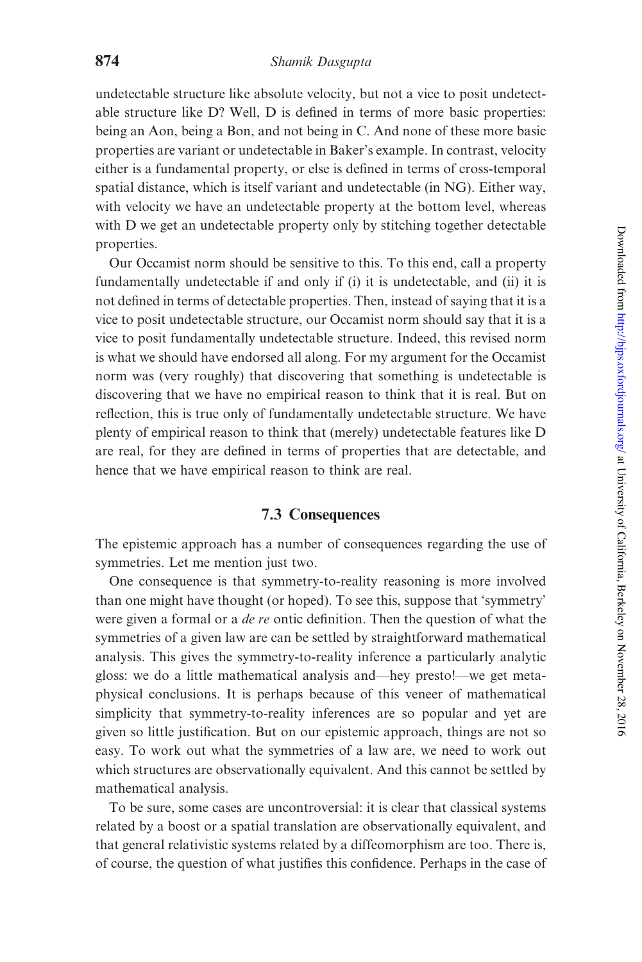undetectable structure like absolute velocity, but not a vice to posit undetectable structure like D? Well, D is defined in terms of more basic properties: being an Aon, being a Bon, and not being in C. And none of these more basic properties are variant or undetectable in Baker's example. In contrast, velocity either is a fundamental property, or else is defined in terms of cross-temporal spatial distance, which is itself variant and undetectable (in NG). Either way, with velocity we have an undetectable property at the bottom level, whereas with D we get an undetectable property only by stitching together detectable properties.

Our Occamist norm should be sensitive to this. To this end, call a property fundamentally undetectable if and only if (i) it is undetectable, and (ii) it is not defined in terms of detectable properties. Then, instead of saying that it is a vice to posit undetectable structure, our Occamist norm should say that it is a vice to posit fundamentally undetectable structure. Indeed, this revised norm is what we should have endorsed all along. For my argument for the Occamist norm was (very roughly) that discovering that something is undetectable is discovering that we have no empirical reason to think that it is real. But on reflection, this is true only of fundamentally undetectable structure. We have plenty of empirical reason to think that (merely) undetectable features like D are real, for they are defined in terms of properties that are detectable, and hence that we have empirical reason to think are real.

#### 7.3 Consequences

The epistemic approach has a number of consequences regarding the use of symmetries. Let me mention just two.

One consequence is that symmetry-to-reality reasoning is more involved than one might have thought (or hoped). To see this, suppose that 'symmetry' were given a formal or a *de re* ontic definition. Then the question of what the symmetries of a given law are can be settled by straightforward mathematical analysis. This gives the symmetry-to-reality inference a particularly analytic gloss: we do a little mathematical analysis and—hey presto!—we get metaphysical conclusions. It is perhaps because of this veneer of mathematical simplicity that symmetry-to-reality inferences are so popular and yet are given so little justification. But on our epistemic approach, things are not so easy. To work out what the symmetries of a law are, we need to work out which structures are observationally equivalent. And this cannot be settled by mathematical analysis.

To be sure, some cases are uncontroversial: it is clear that classical systems related by a boost or a spatial translation are observationally equivalent, and that general relativistic systems related by a diffeomorphism are too. There is, of course, the question of what justifies this confidence. Perhaps in the case of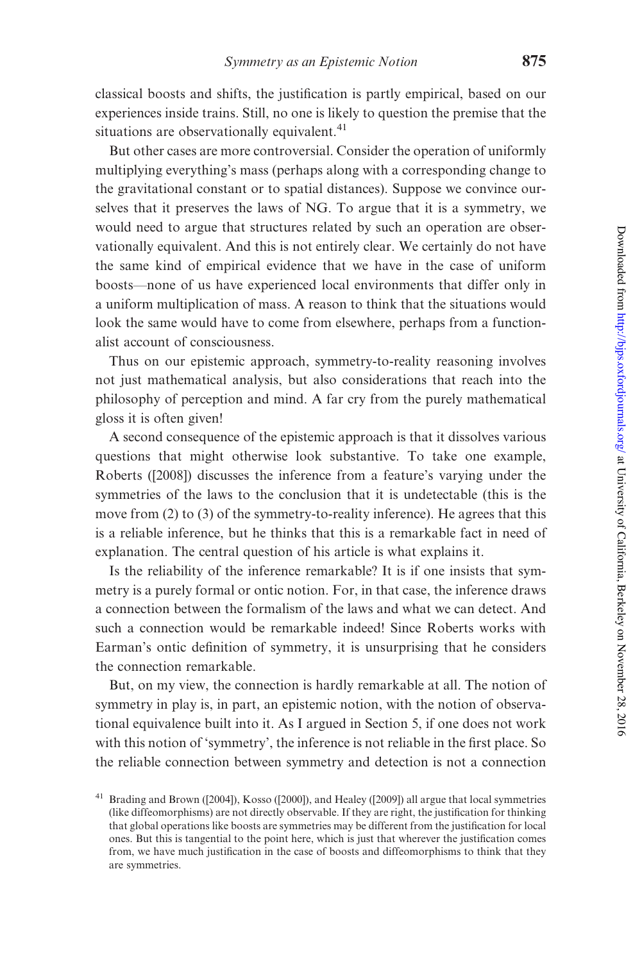classical boosts and shifts, the justification is partly empirical, based on our experiences inside trains. Still, no one is likely to question the premise that the situations are observationally equivalent.<sup>41</sup>

But other cases are more controversial. Consider the operation of uniformly multiplying everything's mass (perhaps along with a corresponding change to the gravitational constant or to spatial distances). Suppose we convince ourselves that it preserves the laws of NG. To argue that it is a symmetry, we would need to argue that structures related by such an operation are observationally equivalent. And this is not entirely clear. We certainly do not have the same kind of empirical evidence that we have in the case of uniform boosts—none of us have experienced local environments that differ only in a uniform multiplication of mass. A reason to think that the situations would look the same would have to come from elsewhere, perhaps from a functionalist account of consciousness.

Thus on our epistemic approach, symmetry-to-reality reasoning involves not just mathematical analysis, but also considerations that reach into the philosophy of perception and mind. A far cry from the purely mathematical gloss it is often given!

A second consequence of the epistemic approach is that it dissolves various questions that might otherwise look substantive. To take one example, Roberts [\(\[2008\]](#page-41-0)) discusses the inference from a feature's varying under the symmetries of the laws to the conclusion that it is undetectable (this is the move from (2) to (3) of the symmetry-to-reality inference). He agrees that this is a reliable inference, but he thinks that this is a remarkable fact in need of explanation. The central question of his article is what explains it.

Is the reliability of the inference remarkable? It is if one insists that symmetry is a purely formal or ontic notion. For, in that case, the inference draws a connection between the formalism of the laws and what we can detect. And such a connection would be remarkable indeed! Since Roberts works with Earman's ontic definition of symmetry, it is unsurprising that he considers the connection remarkable.

But, on my view, the connection is hardly remarkable at all. The notion of symmetry in play is, in part, an epistemic notion, with the notion of observational equivalence built into it. As I argued in Section 5, if one does not work with this notion of 'symmetry', the inference is not reliable in the first place. So the reliable connection between symmetry and detection is not a connection

<sup>&</sup>lt;sup>41</sup> Brading and Brown ([\[2004\]\)](#page-40-0), Kosso ([\[2000\]\)](#page-41-0), and Healey [\(\[2009\]](#page-40-0)) all argue that local symmetries (like diffeomorphisms) are not directly observable. If they are right, the justification for thinking that global operations like boosts are symmetries may be different from the justification for local ones. But this is tangential to the point here, which is just that wherever the justification comes from, we have much justification in the case of boosts and diffeomorphisms to think that they are symmetries.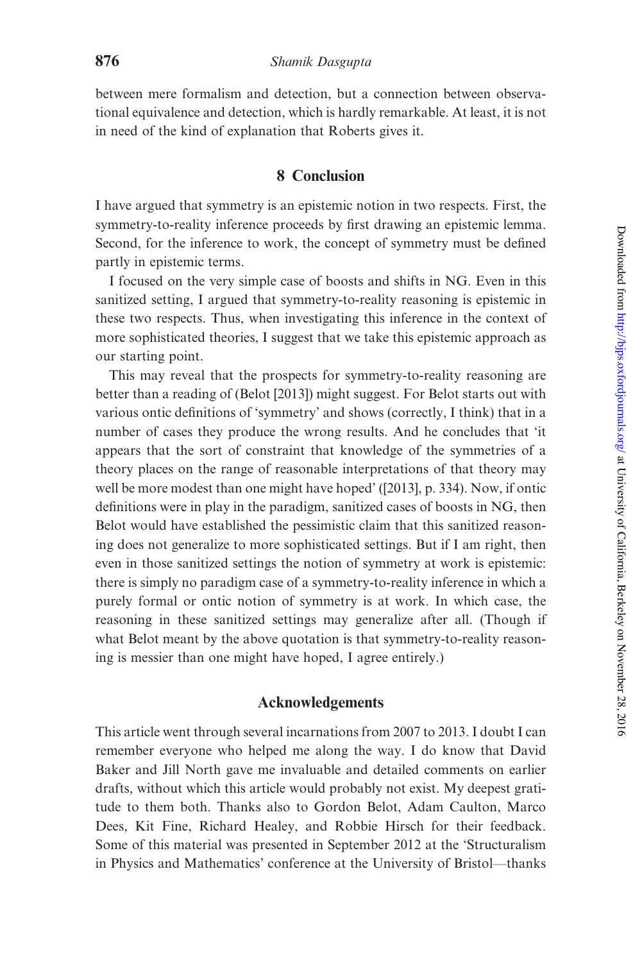between mere formalism and detection, but a connection between observational equivalence and detection, which is hardly remarkable. At least, it is not in need of the kind of explanation that Roberts gives it.

#### 8 Conclusion

I have argued that symmetry is an epistemic notion in two respects. First, the symmetry-to-reality inference proceeds by first drawing an epistemic lemma. Second, for the inference to work, the concept of symmetry must be defined partly in epistemic terms.

I focused on the very simple case of boosts and shifts in NG. Even in this sanitized setting, I argued that symmetry-to-reality reasoning is epistemic in these two respects. Thus, when investigating this inference in the context of more sophisticated theories, I suggest that we take this epistemic approach as our starting point.

This may reveal that the prospects for symmetry-to-reality reasoning are better than a reading of (Belot [\[2013\]\)](#page-40-0) might suggest. For Belot starts out with various ontic definitions of 'symmetry' and shows (correctly, I think) that in a number of cases they produce the wrong results. And he concludes that 'it appears that the sort of constraint that knowledge of the symmetries of a theory places on the range of reasonable interpretations of that theory may well be more modest than one might have hoped' [\(\[2013\]](#page-40-0), p. 334). Now, if ontic definitions were in play in the paradigm, sanitized cases of boosts in NG, then Belot would have established the pessimistic claim that this sanitized reasoning does not generalize to more sophisticated settings. But if I am right, then even in those sanitized settings the notion of symmetry at work is epistemic: there is simply no paradigm case of a symmetry-to-reality inference in which a purely formal or ontic notion of symmetry is at work. In which case, the reasoning in these sanitized settings may generalize after all. (Though if what Belot meant by the above quotation is that symmetry-to-reality reasoning is messier than one might have hoped, I agree entirely.)

## Acknowledgements

This article went through several incarnations from 2007 to 2013. I doubt I can remember everyone who helped me along the way. I do know that David Baker and Jill North gave me invaluable and detailed comments on earlier drafts, without which this article would probably not exist. My deepest gratitude to them both. Thanks also to Gordon Belot, Adam Caulton, Marco Dees, Kit Fine, Richard Healey, and Robbie Hirsch for their feedback. Some of this material was presented in September 2012 at the 'Structuralism in Physics and Mathematics' conference at the University of Bristol—thanks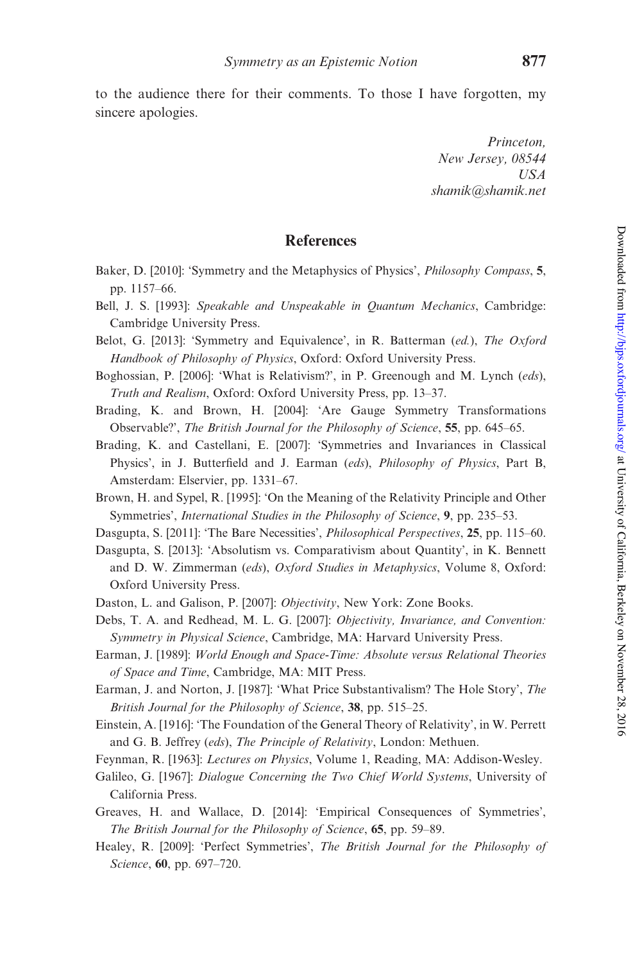<span id="page-40-0"></span>to the audience there for their comments. To those I have forgotten, my sincere apologies.

> Princeton, New Jersey, 08544 USA shamik@shamik.net

#### **References**

- Baker, D. [2010]: 'Symmetry and the Metaphysics of Physics', Philosophy Compass, 5, pp. 1157–66.
- Bell, J. S. [1993]: Speakable and Unspeakable in Quantum Mechanics, Cambridge: Cambridge University Press.
- Belot, G. [2013]: 'Symmetry and Equivalence', in R. Batterman (ed.), The Oxford Handbook of Philosophy of Physics, Oxford: Oxford University Press.
- Boghossian, P. [2006]: 'What is Relativism?', in P. Greenough and M. Lynch (eds), Truth and Realism, Oxford: Oxford University Press, pp. 13–37.
- Brading, K. and Brown, H. [2004]: 'Are Gauge Symmetry Transformations Observable?', The British Journal for the Philosophy of Science, 55, pp. 645–65.
- Brading, K. and Castellani, E. [2007]: 'Symmetries and Invariances in Classical Physics', in J. Butterfield and J. Earman (eds), Philosophy of Physics, Part B, Amsterdam: Elservier, pp. 1331–67.
- Brown, H. and Sypel, R. [1995]: 'On the Meaning of the Relativity Principle and Other Symmetries', International Studies in the Philosophy of Science, 9, pp. 235–53.
- Dasgupta, S. [2011]: 'The Bare Necessities', Philosophical Perspectives, 25, pp. 115–60.
- Dasgupta, S. [2013]: 'Absolutism vs. Comparativism about Quantity', in K. Bennett and D. W. Zimmerman (eds), Oxford Studies in Metaphysics, Volume 8, Oxford: Oxford University Press.
- Daston, L. and Galison, P. [2007]: Objectivity, New York: Zone Books.
- Debs, T. A. and Redhead, M. L. G. [2007]: Objectivity, Invariance, and Convention: Symmetry in Physical Science, Cambridge, MA: Harvard University Press.
- Earman, J. [1989]: World Enough and Space-Time: Absolute versus Relational Theories of Space and Time, Cambridge, MA: MIT Press.
- Earman, J. and Norton, J. [1987]: 'What Price Substantivalism? The Hole Story', The British Journal for the Philosophy of Science, 38, pp. 515–25.
- Einstein, A. [1916]: 'The Foundation of the General Theory of Relativity', in W. Perrett and G. B. Jeffrey (eds), The Principle of Relativity, London: Methuen.
- Feynman, R. [1963]: Lectures on Physics, Volume 1, Reading, MA: Addison-Wesley.
- Galileo, G. [1967]: Dialogue Concerning the Two Chief World Systems, University of California Press.
- Greaves, H. and Wallace, D. [2014]: 'Empirical Consequences of Symmetries', The British Journal for the Philosophy of Science, 65, pp. 59-89.
- Healey, R. [2009]: 'Perfect Symmetries', The British Journal for the Philosophy of Science, 60, pp. 697–720.